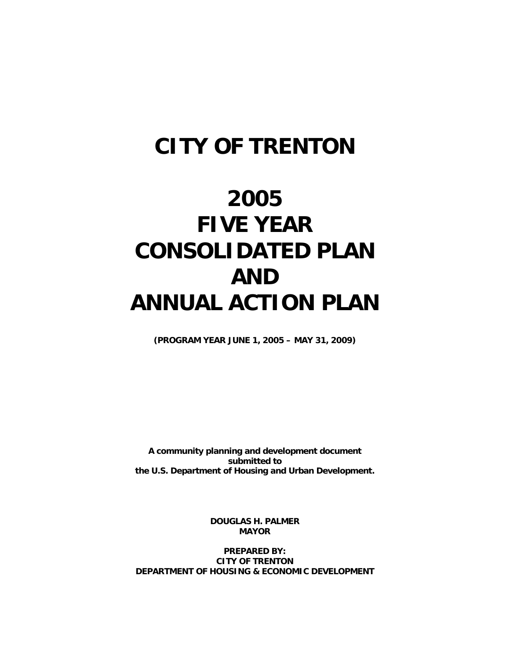## **CITY OF TRENTON**

# **2005 FIVE YEAR CONSOLIDATED PLAN AND ANNUAL ACTION PLAN**

**(PROGRAM YEAR JUNE 1, 2005 – MAY 31, 2009)** 

**A community planning and development document submitted to the U.S. Department of Housing and Urban Development.** 

> **DOUGLAS H. PALMER MAYOR**

**PREPARED BY: CITY OF TRENTON DEPARTMENT OF HOUSING & ECONOMIC DEVELOPMENT**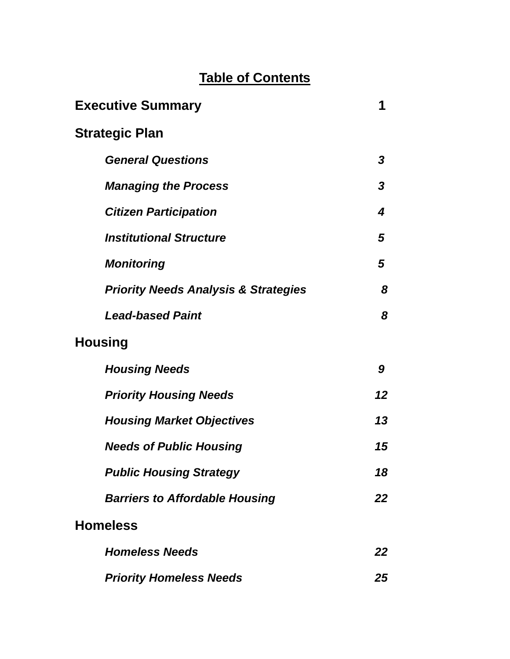## **Table of Contents**

| <b>Executive Summary</b>                        | 1  |
|-------------------------------------------------|----|
| <b>Strategic Plan</b>                           |    |
| <b>General Questions</b>                        | 3  |
| <b>Managing the Process</b>                     | 3  |
| <b>Citizen Participation</b>                    | 4  |
| <b>Institutional Structure</b>                  | 5  |
| <b>Monitoring</b>                               | 5  |
| <b>Priority Needs Analysis &amp; Strategies</b> | 8  |
| <b>Lead-based Paint</b>                         | 8  |
| <b>Housing</b>                                  |    |
| <b>Housing Needs</b>                            | 9  |
| <b>Priority Housing Needs</b>                   | 12 |
| <b>Housing Market Objectives</b>                | 13 |
| <b>Needs of Public Housing</b>                  | 15 |
| <b>Public Housing Strategy</b>                  | 18 |
| <b>Barriers to Affordable Housing</b>           | 22 |
| <b>Homeless</b>                                 |    |
| <b>Homeless Needs</b>                           | 22 |
| <b>Priority Homeless Needs</b>                  | 25 |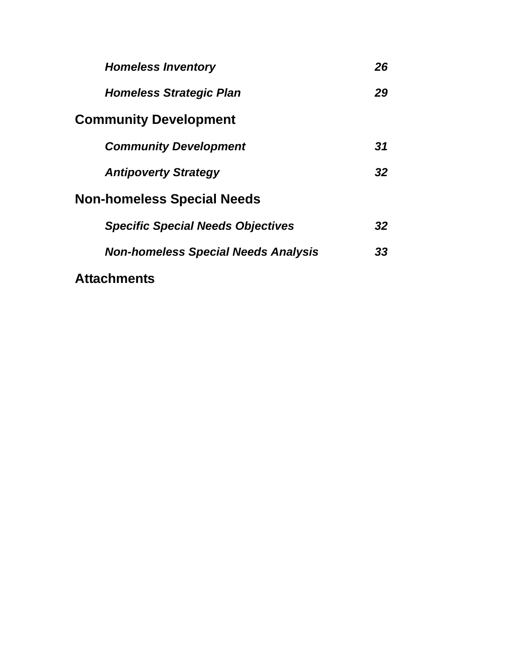| <b>Homeless Inventory</b>                  | 26 |
|--------------------------------------------|----|
| <b>Homeless Strategic Plan</b>             | 29 |
| <b>Community Development</b>               |    |
| <b>Community Development</b>               | 31 |
| <b>Antipoverty Strategy</b>                | 32 |
| <b>Non-homeless Special Needs</b>          |    |
| <b>Specific Special Needs Objectives</b>   | 32 |
| <b>Non-homeless Special Needs Analysis</b> | 33 |
| <b>Attachments</b>                         |    |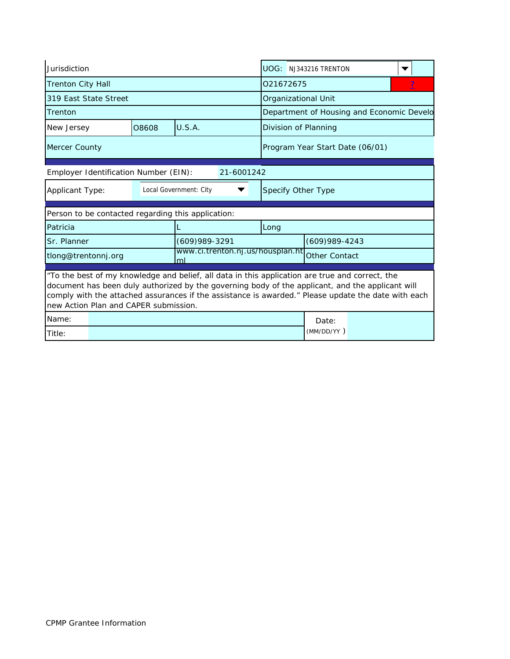| Jurisdiction                                   |  |                                       |                                                                                                                                                                                                                                                                                                            |                    | UOG: NJ343216 TRENTON           |                                           |  |  |  |
|------------------------------------------------|--|---------------------------------------|------------------------------------------------------------------------------------------------------------------------------------------------------------------------------------------------------------------------------------------------------------------------------------------------------------|--------------------|---------------------------------|-------------------------------------------|--|--|--|
| <b>Trenton City Hall</b>                       |  |                                       |                                                                                                                                                                                                                                                                                                            |                    | 021672675                       |                                           |  |  |  |
| 319 East State Street                          |  |                                       |                                                                                                                                                                                                                                                                                                            |                    | Organizational Unit             |                                           |  |  |  |
| Trenton                                        |  |                                       |                                                                                                                                                                                                                                                                                                            |                    |                                 | Department of Housing and Economic Develo |  |  |  |
| New Jersey                                     |  | 08608                                 | U.S.A.                                                                                                                                                                                                                                                                                                     |                    | Division of Planning            |                                           |  |  |  |
| Mercer County                                  |  |                                       |                                                                                                                                                                                                                                                                                                            |                    | Program Year Start Date (06/01) |                                           |  |  |  |
|                                                |  | Employer Identification Number (EIN): | 21-6001242                                                                                                                                                                                                                                                                                                 |                    |                                 |                                           |  |  |  |
| Local Government: City<br>Applicant Type:<br>▼ |  |                                       |                                                                                                                                                                                                                                                                                                            | Specify Other Type |                                 |                                           |  |  |  |
|                                                |  |                                       |                                                                                                                                                                                                                                                                                                            |                    |                                 |                                           |  |  |  |
|                                                |  |                                       | Person to be contacted regarding this application:                                                                                                                                                                                                                                                         |                    |                                 |                                           |  |  |  |
| Patricia                                       |  |                                       |                                                                                                                                                                                                                                                                                                            | Long               |                                 |                                           |  |  |  |
| Sr. Planner                                    |  |                                       | $(609)989 - 3291$                                                                                                                                                                                                                                                                                          |                    | $(609)989 - 4243$               |                                           |  |  |  |
| tlong@trentonnj.org                            |  |                                       | www.ci.trenton.nj.us/housplan.ht<br>ml                                                                                                                                                                                                                                                                     |                    | <b>Other Contact</b>            |                                           |  |  |  |
|                                                |  | new Action Plan and CAPER submission. | "To the best of my knowledge and belief, all data in this application are true and correct, the<br>document has been duly authorized by the governing body of the applicant, and the applicant will<br>comply with the attached assurances if the assistance is awarded." Please update the date with each |                    |                                 |                                           |  |  |  |
| Name:                                          |  |                                       |                                                                                                                                                                                                                                                                                                            |                    | Date:<br>(MM/DD/YY)             |                                           |  |  |  |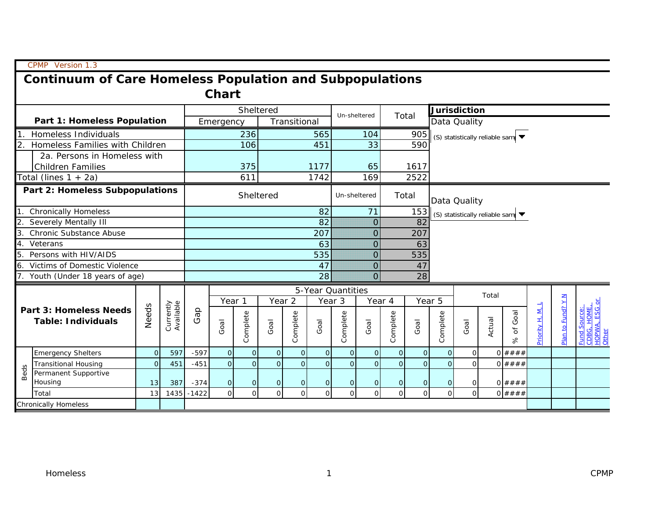|      | CPMP Version 1.3                                                |                |                        |             |                  |                |                   |                |                |                   |                |                |                |                     |                |        |                                                        |                |                   |                                                      |
|------|-----------------------------------------------------------------|----------------|------------------------|-------------|------------------|----------------|-------------------|----------------|----------------|-------------------|----------------|----------------|----------------|---------------------|----------------|--------|--------------------------------------------------------|----------------|-------------------|------------------------------------------------------|
|      | <b>Continuum of Care Homeless Population and Subpopulations</b> |                |                        |             |                  |                |                   |                |                |                   |                |                |                |                     |                |        |                                                        |                |                   |                                                      |
|      | <b>Chart</b>                                                    |                |                        |             |                  |                |                   |                |                |                   |                |                |                |                     |                |        |                                                        |                |                   |                                                      |
|      |                                                                 |                |                        |             |                  | Sheltered      |                   |                |                |                   |                |                |                | <b>Jurisdiction</b> |                |        |                                                        |                |                   |                                                      |
|      | <b>Part 1: Homeless Population</b>                              |                |                        |             | Emergency        |                |                   | Transitional   |                | Un-sheltered      |                | Total          |                |                     | Data Quality   |        |                                                        |                |                   |                                                      |
|      | 1. Homeless Individuals                                         |                |                        |             |                  | 236            |                   |                | 565            |                   | 104            |                | 905            |                     |                |        | (S) statistically reliable samp $\blacktriangledown$   |                |                   |                                                      |
|      | 2. Homeless Families with Children                              |                |                        |             |                  | 106            |                   |                | 451            |                   | 33             |                | 590            |                     |                |        |                                                        |                |                   |                                                      |
|      | 2a. Persons in Homeless with                                    |                |                        |             |                  |                |                   |                |                |                   |                |                |                |                     |                |        |                                                        |                |                   |                                                      |
|      | <b>Children Families</b>                                        |                |                        |             |                  | 375            |                   |                | 1177           |                   | 65             |                | 1617           |                     |                |        |                                                        |                |                   |                                                      |
|      | Total (lines $1 + 2a$ )                                         |                |                        |             |                  | 611            |                   |                | 1742           |                   | 169            |                | 2522           |                     |                |        |                                                        |                |                   |                                                      |
|      | Part 2: Homeless Subpopulations                                 |                |                        |             |                  | Sheltered      |                   |                |                | Un-sheltered      |                | Total          |                | Data Quality        |                |        |                                                        |                |                   |                                                      |
|      | 1. Chronically Homeless                                         |                |                        |             |                  |                |                   |                | 82             |                   | 71             |                | 153            |                     |                |        | (S) statistically reliable samp $\blacktriangledown$   |                |                   |                                                      |
|      | 2. Severely Mentally III                                        |                |                        |             |                  |                |                   |                | 82             |                   | O              |                | 82             |                     |                |        |                                                        |                |                   |                                                      |
|      | 3. Chronic Substance Abuse                                      |                |                        |             | 207<br>O.<br>207 |                |                   |                |                |                   |                |                |                |                     |                |        |                                                        |                |                   |                                                      |
|      | 4. Veterans                                                     |                |                        |             | 63<br>O<br>63    |                |                   |                |                |                   |                |                |                |                     |                |        |                                                        |                |                   |                                                      |
|      | 5. Persons with HIV/AIDS                                        |                |                        |             |                  |                |                   |                | 535            |                   | Ω              |                | 535            |                     |                |        |                                                        |                |                   |                                                      |
|      | 6. Victims of Domestic Violence                                 |                |                        |             |                  |                |                   |                | 47             |                   | O.             |                | 47             |                     |                |        |                                                        |                |                   |                                                      |
|      | 7. Youth (Under 18 years of age)                                |                |                        |             |                  |                |                   |                | 28             |                   | $\Omega$       |                | 28             |                     |                |        |                                                        |                |                   |                                                      |
|      |                                                                 |                |                        |             |                  |                |                   |                |                | 5-Year Quantities |                |                |                |                     |                | Total  |                                                        |                |                   |                                                      |
|      |                                                                 |                |                        |             | Year 1           |                | Year <sub>2</sub> |                | Year 3         |                   | Year 4         |                | Year 5         |                     |                |        |                                                        |                |                   |                                                      |
|      | <b>Part 3: Homeless Needs</b><br><b>Table: Individuals</b>      | Needs          | Currently<br>Available | Gap         | Goal             | Complete       | Goal              | Complete       | Goal           | Complete          | Goal           | Complete       | Goal           | Complete            | Goal           | Actual | Goal<br>$\overleftarrow{\mathrm{o}}$<br>8 <sup>o</sup> | Priority H. M. | Plan to Fund? Y N | CDBG, HOME,<br>HOPWA, ESG (<br>Other<br>Fund Source: |
|      | <b>Emergency Shelters</b>                                       | $\overline{0}$ | 597                    | $-597$      | $\circ$          | $\mathbf{O}$   | $\mathbf 0$       | $\Omega$       | $\overline{O}$ | $\overline{O}$    | $\overline{O}$ | $\overline{O}$ | $\overline{O}$ | $\overline{O}$      | $\overline{0}$ |        | 0# # # #                                               |                |                   |                                                      |
|      | <b>Transitional Housing</b>                                     | $\overline{O}$ | 451                    | $-451$      | $\overline{O}$   | $\overline{O}$ | $\overline{O}$    | $\Omega$       | $\overline{O}$ | $\overline{O}$    | O              | $\overline{O}$ | $\Omega$       | $\Omega$            | $\overline{O}$ |        | 0# # # #                                               |                |                   |                                                      |
| Beds | Permanent Supportive<br>Housing                                 | 13             | 387                    | $-374$      | $\mathbf 0$      | $\mathbf{O}$   | $\overline{O}$    | $\overline{0}$ | $\overline{O}$ | $\overline{O}$    | $\mathbf{O}$   | $\overline{O}$ | $\overline{0}$ | $\overline{O}$      | $\overline{O}$ |        | 0# # # #                                               |                |                   |                                                      |
|      | Total                                                           | 13             |                        | 1435 - 1422 | $\mathbf 0$      | $\Omega$       | $\Omega$          | $\Omega$       | $\Omega$       | $\Omega$          | $\Omega$       | $\circ$        | $\Omega$       | $\overline{O}$      | $\Omega$       |        | 0# # # #                                               |                |                   |                                                      |
|      | <b>Chronically Homeless</b>                                     |                |                        |             |                  |                |                   |                |                |                   |                |                |                |                     |                |        |                                                        |                |                   |                                                      |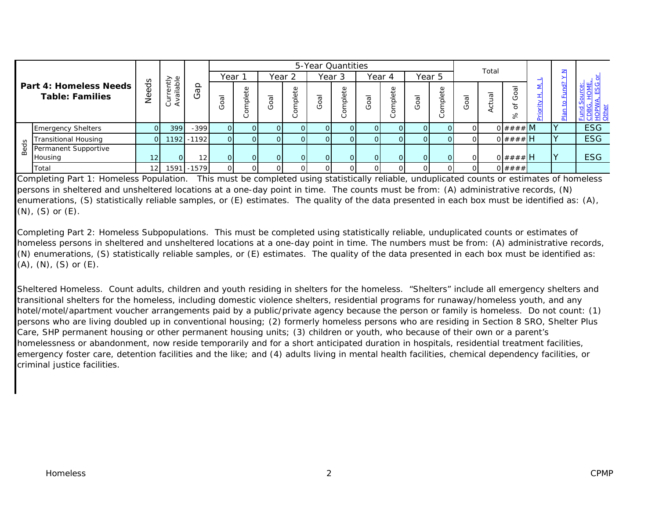|   |                                                         |                 |                                           |                 |          |             |             |                    |                | 5-Year Quantities |                     |         |                                     |                          |               |          |              |  |     |            |
|---|---------------------------------------------------------|-----------------|-------------------------------------------|-----------------|----------|-------------|-------------|--------------------|----------------|-------------------|---------------------|---------|-------------------------------------|--------------------------|---------------|----------|--------------|--|-----|------------|
|   |                                                         |                 |                                           |                 |          | Year        |             |                    | Year 2         |                   | Year 3              |         | Year 4                              |                          | Year 5        |          | Total        |  |     |            |
|   | <b>Part 4: Homeless Needs</b><br><b>Table: Families</b> | ಕೆ<br>Φ<br>ق⊆   | elque<br>Kiµu<br>$=$<br>L)<br>コ<br>⋖<br>ပ | ௨<br>Ф          | $\omega$ | Ф<br>د<br>٥ | -<br>g<br>O | $\circ$<br>ىب<br>٥ | Goal           |                   | $\overline{5}$<br>O | Φ<br>ά٥ | $\overline{\mathfrak{a}}$<br>Ő<br>O | $\omega$<br>ىپ<br>٥<br>ပ | 8O<br>$\circ$ | <b>G</b> |              |  | ခ္ပ | 팋<br>푀     |
|   | <b>Emergency Shelters</b>                               |                 | 399                                       | $-399$          | ΩI       |             | ΩI          | $\overline{O}$     |                | $\Omega$          |                     | 01      | $\Omega$                            |                          |               |          | 0####M       |  |     | <b>ESG</b> |
| 8 | Transitional Housing                                    | ΟI              |                                           | 1192 - 1192     |          |             | ΩI          | $\overline{O}$     |                | $\Omega$          |                     |         | $\overline{O}$                      |                          |               |          | $0$ #### $H$ |  |     | <b>ESG</b> |
|   | Permanent Supportive                                    |                 |                                           |                 |          |             |             |                    |                |                   |                     |         |                                     |                          |               |          |              |  |     |            |
|   | Housing                                                 | 12 <sub>1</sub> | $\Omega$                                  | 12 <sub>l</sub> |          |             | ΟI          | $\overline{O}$     | $\overline{O}$ | $\Omega$          | ΩL                  | ΟI      | $\overline{O}$                      |                          |               |          | $0$ #### H   |  | Ιv  | <b>ESG</b> |
|   | Total                                                   | 12 <sub>1</sub> |                                           | 1591 - 1579     |          |             | ΟI          | ΟI                 |                | ΟI                |                     |         | Οl                                  |                          |               |          | 0# # # #     |  |     |            |

Completing Part 1: Homeless Population. This must be completed using statistically reliable, unduplicated counts or estimates of homeless persons in sheltered and unsheltered locations at a one-day point in time. The counts must be from: (A) administrative records, (N) enumerations, (S) statistically reliable samples, or (E) estimates. The quality of the data presented in each box must be identified as: (A), (N), (S) or (E).

Completing Part 2: Homeless Subpopulations. This must be completed using statistically reliable, unduplicated counts or estimates of homeless persons in sheltered and unsheltered locations at a one-day point in time. The numbers must be from: (A) administrative records, (N) enumerations, (S) statistically reliable samples, or (E) estimates. The quality of the data presented in each box must be identified as:  $(A)$ ,  $(N)$ ,  $(S)$  or  $(E)$ .

Sheltered Homeless. Count adults, children and youth residing in shelters for the homeless. "Shelters" include all emergency shelters and transitional shelters for the homeless, including domestic violence shelters, residential programs for runaway/homeless youth, and any hotel/motel/apartment voucher arrangements paid by a public/private agency because the person or family is homeless. Do not count: (1) persons who are living doubled up in conventional housing; (2) formerly homeless persons who are residing in Section 8 SRO, Shelter Plus Care, SHP permanent housing or other permanent housing units; (3) children or youth, who because of their own or a parent's homelessness or abandonment, now reside temporarily and for a short anticipated duration in hospitals, residential treatment facilities, emergency foster care, detention facilities and the like; and (4) adults living in mental health facilities, chemical dependency facilities, or criminal justice facilities.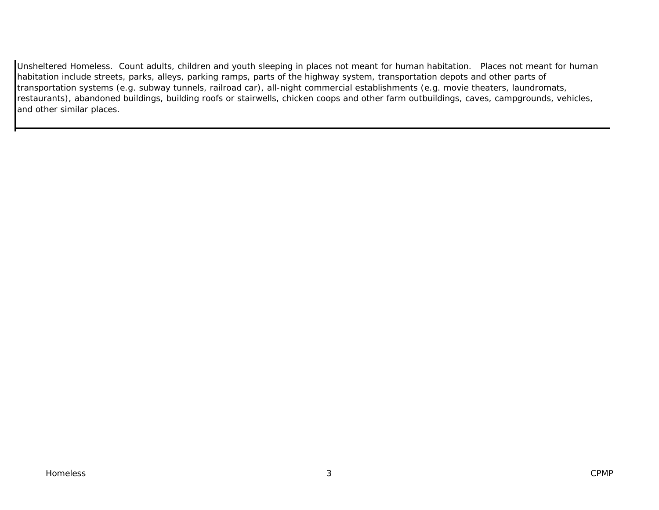Unsheltered Homeless. Count adults, children and youth sleeping in places not meant for human habitation. Places not meant for human habitation include streets, parks, alleys, parking ramps, parts of the highway system, transportation depots and other parts of transportation systems (e.g. subway tunnels, railroad car), all-night commercial establishments (e.g. movie theaters, laundromats, restaurants), abandoned buildings, building roofs or stairwells, chicken coops and other farm outbuildings, caves, campgrounds, vehicles, and other similar places.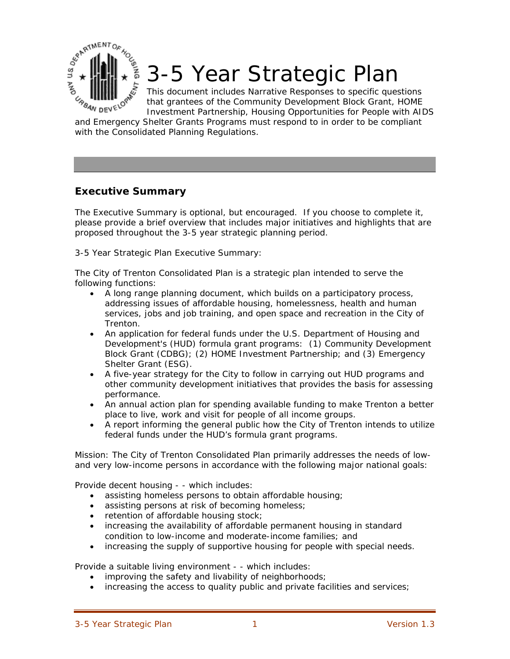3-5 Year Strategic Plan

This document includes Narrative Responses to specific questions that grantees of the Community Development Block Grant, HOME Investment Partnership, Housing Opportunities for People with AIDS

**EXAMPLE AND READ STATE** and Emergency Shelter Grants Programs must respond to in order to be compliant with the Consolidated Planning Regulations.

## **Executive Summary**

**ONY US DES ARTIN** 

The Executive Summary is optional, but encouraged. If you choose to complete it, please provide a brief overview that includes major initiatives and highlights that are proposed throughout the 3-5 year strategic planning period.

3-5 Year Strategic Plan Executive Summary:

The City of Trenton Consolidated Plan is a strategic plan intended to serve the following functions:

- A long range planning document, which builds on a participatory process, addressing issues of affordable housing, homelessness, health and human services, jobs and job training, and open space and recreation in the City of Trenton.
- An application for federal funds under the U.S. Department of Housing and Development's (HUD) formula grant programs: (1) Community Development Block Grant (CDBG); (2) HOME Investment Partnership; and (3) Emergency Shelter Grant (ESG).
- A five-year strategy for the City to follow in carrying out HUD programs and other community development initiatives that provides the basis for assessing performance.
- An annual action plan for spending available funding to make Trenton a better place to live, work and visit for people of all income groups.
- A report informing the general public how the City of Trenton intends to utilize federal funds under the HUD's formula grant programs.

Mission: The City of Trenton Consolidated Plan primarily addresses the needs of lowand very low-income persons in accordance with the following major national goals:

Provide decent housing - - which includes:

- assisting homeless persons to obtain affordable housing;
- assisting persons at risk of becoming homeless;
- retention of affordable housing stock;
- increasing the availability of affordable permanent housing in standard condition to low-income and moderate-income families; and
- increasing the supply of supportive housing for people with special needs.

Provide a suitable living environment - - which includes:

- improving the safety and livability of neighborhoods;
- increasing the access to quality public and private facilities and services;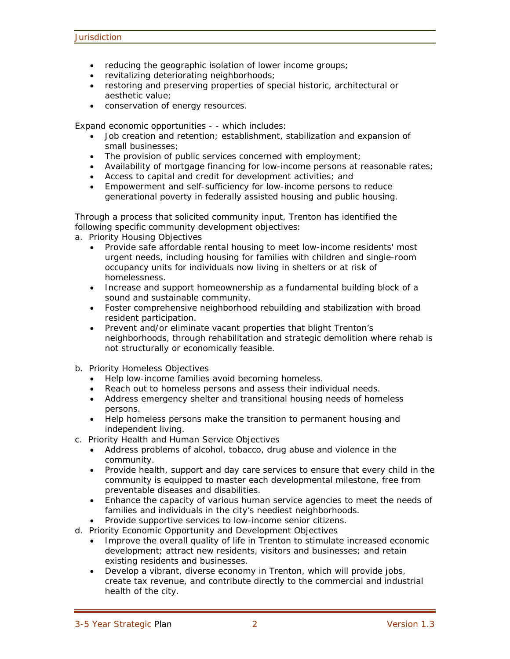- reducing the geographic isolation of lower income groups;
- revitalizing deteriorating neighborhoods;
- restoring and preserving properties of special historic, architectural or aesthetic value;
- conservation of energy resources.

Expand economic opportunities - - which includes:

- Job creation and retention; establishment, stabilization and expansion of small businesses;
- The provision of public services concerned with employment;
- Availability of mortgage financing for low-income persons at reasonable rates;
- Access to capital and credit for development activities; and
- Empowerment and self-sufficiency for low-income persons to reduce generational poverty in federally assisted housing and public housing.

Through a process that solicited community input, Trenton has identified the following specific community development objectives:

- a. Priority Housing Objectives
	- Provide safe affordable rental housing to meet low-income residents' most urgent needs, including housing for families with children and single-room occupancy units for individuals now living in shelters or at risk of homelessness.
	- Increase and support homeownership as a fundamental building block of a sound and sustainable community.
	- Foster comprehensive neighborhood rebuilding and stabilization with broad resident participation.
	- Prevent and/or eliminate vacant properties that blight Trenton's neighborhoods, through rehabilitation and strategic demolition where rehab is not structurally or economically feasible.
- b. Priority Homeless Objectives
	- Help low-income families avoid becoming homeless.
	- Reach out to homeless persons and assess their individual needs.
	- Address emergency shelter and transitional housing needs of homeless persons.
	- Help homeless persons make the transition to permanent housing and independent living.
- c. Priority Health and Human Service Objectives
	- Address problems of alcohol, tobacco, drug abuse and violence in the community.
	- Provide health, support and day care services to ensure that every child in the community is equipped to master each developmental milestone, free from preventable diseases and disabilities.
	- Enhance the capacity of various human service agencies to meet the needs of families and individuals in the city's neediest neighborhoods.
	- Provide supportive services to low-income senior citizens.
- d. Priority Economic Opportunity and Development Objectives
	- Improve the overall quality of life in Trenton to stimulate increased economic development; attract new residents, visitors and businesses; and retain existing residents and businesses.
	- Develop a vibrant, diverse economy in Trenton, which will provide jobs, create tax revenue, and contribute directly to the commercial and industrial health of the city.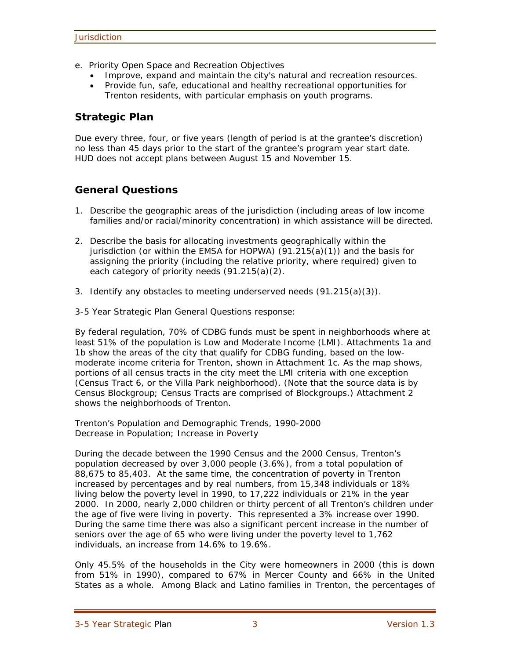- e. Priority Open Space and Recreation Objectives
	- Improve, expand and maintain the city's natural and recreation resources.
	- Provide fun, safe, educational and healthy recreational opportunities for Trenton residents, with particular emphasis on youth programs.

### **Strategic Plan**

Due every three, four, or five years (length of period is at the grantee's discretion) no less than 45 days prior to the start of the grantee's program year start date. HUD does not accept plans between August 15 and November 15.

## **General Questions**

- 1. Describe the geographic areas of the jurisdiction (including areas of low income families and/or racial/minority concentration) in which assistance will be directed.
- 2. Describe the basis for allocating investments geographically within the jurisdiction (or within the EMSA for HOPWA) (91.215(a)(1)) and the basis for assigning the priority (including the relative priority, where required) given to each category of priority needs (91.215(a)(2).
- 3. Identify any obstacles to meeting underserved needs  $(91.215(a)(3))$ .
- 3-5 Year Strategic Plan General Questions response:

By federal regulation, 70% of CDBG funds must be spent in neighborhoods where at least 51% of the population is Low and Moderate Income (LMI). Attachments 1a and 1b show the areas of the city that qualify for CDBG funding, based on the lowmoderate income criteria for Trenton, shown in Attachment 1c. As the map shows, portions of all census tracts in the city meet the LMI criteria with one exception (Census Tract 6, or the Villa Park neighborhood). (Note that the source data is by Census Blockgroup; Census Tracts are comprised of Blockgroups.) Attachment 2 shows the neighborhoods of Trenton.

Trenton's Population and Demographic Trends, 1990-2000 Decrease in Population; Increase in Poverty

During the decade between the 1990 Census and the 2000 Census, Trenton's population decreased by over 3,000 people (3.6%), from a total population of 88,675 to 85,403. At the same time, the concentration of poverty in Trenton increased by percentages and by real numbers, from 15,348 individuals or 18% living below the poverty level in 1990, to 17,222 individuals or 21% in the year 2000. In 2000, nearly 2,000 children or thirty percent of all Trenton's children under the age of five were living in poverty. This represented a 3% increase over 1990. During the same time there was also a significant percent increase in the number of seniors over the age of 65 who were living under the poverty level to 1,762 individuals, an increase from 14.6% to 19.6%.

Only 45.5% of the households in the City were homeowners in 2000 (this is down from 51% in 1990), compared to 67% in Mercer County and 66% in the United States as a whole. Among Black and Latino families in Trenton, the percentages of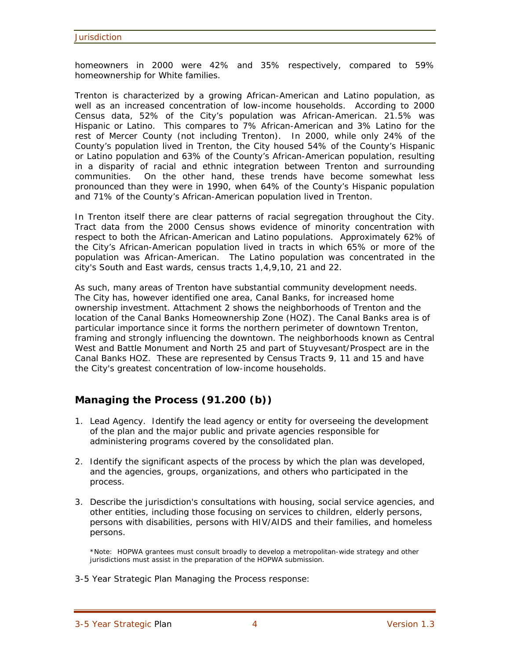homeowners in 2000 were 42% and 35% respectively, compared to 59% homeownership for White families.

Trenton is characterized by a growing African-American and Latino population, as well as an increased concentration of low-income households. According to 2000 Census data, 52% of the City's population was African-American. 21.5% was Hispanic or Latino. This compares to 7% African-American and 3% Latino for the rest of Mercer County (not including Trenton). In 2000, while only 24% of the County's population lived in Trenton, the City housed 54% of the County's Hispanic or Latino population and 63% of the County's African-American population, resulting in a disparity of racial and ethnic integration between Trenton and surrounding communities. On the other hand, these trends have become somewhat less pronounced than they were in 1990, when 64% of the County's Hispanic population and 71% of the County's African-American population lived in Trenton.

In Trenton itself there are clear patterns of racial segregation throughout the City. Tract data from the 2000 Census shows evidence of minority concentration with respect to both the African-American and Latino populations. Approximately 62% of the City's African-American population lived in tracts in which 65% or more of the population was African-American. The Latino population was concentrated in the city's South and East wards, census tracts 1,4,9,10, 21 and 22.

As such, many areas of Trenton have substantial community development needs. The City has, however identified one area, Canal Banks, for increased home ownership investment. Attachment 2 shows the neighborhoods of Trenton and the location of the Canal Banks Homeownership Zone (HOZ). The Canal Banks area is of particular importance since it forms the northern perimeter of downtown Trenton, framing and strongly influencing the downtown. The neighborhoods known as Central West and Battle Monument and North 25 and part of Stuyvesant/Prospect are in the Canal Banks HOZ. These are represented by Census Tracts 9, 11 and 15 and have the City's greatest concentration of low-income households.

## **Managing the Process (91.200 (b))**

- 1. Lead Agency. Identify the lead agency or entity for overseeing the development of the plan and the major public and private agencies responsible for administering programs covered by the consolidated plan.
- 2. Identify the significant aspects of the process by which the plan was developed, and the agencies, groups, organizations, and others who participated in the process.
- 3. Describe the jurisdiction's consultations with housing, social service agencies, and other entities, including those focusing on services to children, elderly persons, persons with disabilities, persons with HIV/AIDS and their families, and homeless persons.

\*Note: HOPWA grantees must consult broadly to develop a metropolitan-wide strategy and other jurisdictions must assist in the preparation of the HOPWA submission.

3-5 Year Strategic Plan Managing the Process response: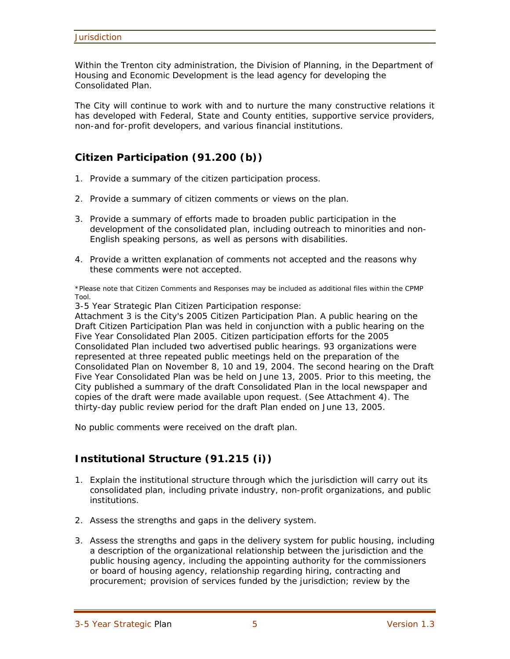Within the Trenton city administration, the Division of Planning, in the Department of Housing and Economic Development is the lead agency for developing the Consolidated Plan.

The City will continue to work with and to nurture the many constructive relations it has developed with Federal, State and County entities, supportive service providers, non-and for-profit developers, and various financial institutions.

## **Citizen Participation (91.200 (b))**

- 1. Provide a summary of the citizen participation process.
- 2. Provide a summary of citizen comments or views on the plan.
- 3. Provide a summary of efforts made to broaden public participation in the development of the consolidated plan, including outreach to minorities and non-English speaking persons, as well as persons with disabilities.
- 4. Provide a written explanation of comments not accepted and the reasons why these comments were not accepted.

\*Please note that Citizen Comments and Responses may be included as additional files within the CPMP Tool.

3-5 Year Strategic Plan Citizen Participation response:

Attachment 3 is the City's 2005 Citizen Participation Plan. A public hearing on the Draft Citizen Participation Plan was held in conjunction with a public hearing on the Five Year Consolidated Plan 2005. Citizen participation efforts for the 2005 Consolidated Plan included two advertised public hearings. 93 organizations were represented at three repeated public meetings held on the preparation of the Consolidated Plan on November 8, 10 and 19, 2004. The second hearing on the Draft Five Year Consolidated Plan was be held on June 13, 2005. Prior to this meeting, the City published a summary of the draft Consolidated Plan in the local newspaper and copies of the draft were made available upon request. (See Attachment 4). The thirty-day public review period for the draft Plan ended on June 13, 2005.

No public comments were received on the draft plan.

## **Institutional Structure (91.215 (i))**

- 1. Explain the institutional structure through which the jurisdiction will carry out its consolidated plan, including private industry, non-profit organizations, and public institutions.
- 2. Assess the strengths and gaps in the delivery system.
- 3. Assess the strengths and gaps in the delivery system for public housing, including a description of the organizational relationship between the jurisdiction and the public housing agency, including the appointing authority for the commissioners or board of housing agency, relationship regarding hiring, contracting and procurement; provision of services funded by the jurisdiction; review by the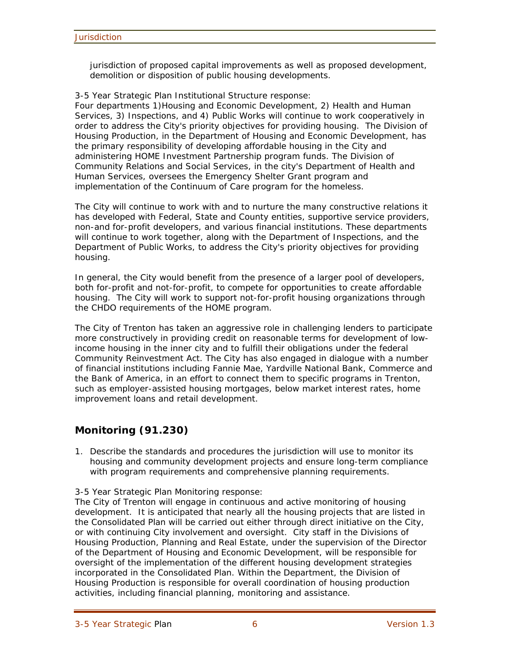jurisdiction of proposed capital improvements as well as proposed development, demolition or disposition of public housing developments.

3-5 Year Strategic Plan Institutional Structure response:

Four departments 1)Housing and Economic Development, 2) Health and Human Services, 3) Inspections, and 4) Public Works will continue to work cooperatively in order to address the City's priority objectives for providing housing. The Division of Housing Production, in the Department of Housing and Economic Development, has the primary responsibility of developing affordable housing in the City and administering HOME Investment Partnership program funds. The Division of Community Relations and Social Services, in the city's Department of Health and Human Services, oversees the Emergency Shelter Grant program and implementation of the Continuum of Care program for the homeless.

The City will continue to work with and to nurture the many constructive relations it has developed with Federal, State and County entities, supportive service providers, non-and for-profit developers, and various financial institutions. These departments will continue to work together, along with the Department of Inspections, and the Department of Public Works, to address the City's priority objectives for providing housing.

In general, the City would benefit from the presence of a larger pool of developers, both for-profit and not-for-profit, to compete for opportunities to create affordable housing. The City will work to support not-for-profit housing organizations through the CHDO requirements of the HOME program.

The City of Trenton has taken an aggressive role in challenging lenders to participate more constructively in providing credit on reasonable terms for development of lowincome housing in the inner city and to fulfill their obligations under the federal Community Reinvestment Act. The City has also engaged in dialogue with a number of financial institutions including Fannie Mae, Yardville National Bank, Commerce and the Bank of America, in an effort to connect them to specific programs in Trenton, such as employer-assisted housing mortgages, below market interest rates, home improvement loans and retail development.

## **Monitoring (91.230)**

1. Describe the standards and procedures the jurisdiction will use to monitor its housing and community development projects and ensure long-term compliance with program requirements and comprehensive planning requirements.

3-5 Year Strategic Plan Monitoring response:

The City of Trenton will engage in continuous and active monitoring of housing development. It is anticipated that nearly all the housing projects that are listed in the Consolidated Plan will be carried out either through direct initiative on the City, or with continuing City involvement and oversight. City staff in the Divisions of Housing Production, Planning and Real Estate, under the supervision of the Director of the Department of Housing and Economic Development, will be responsible for oversight of the implementation of the different housing development strategies incorporated in the Consolidated Plan. Within the Department, the Division of Housing Production is responsible for overall coordination of housing production activities, including financial planning, monitoring and assistance.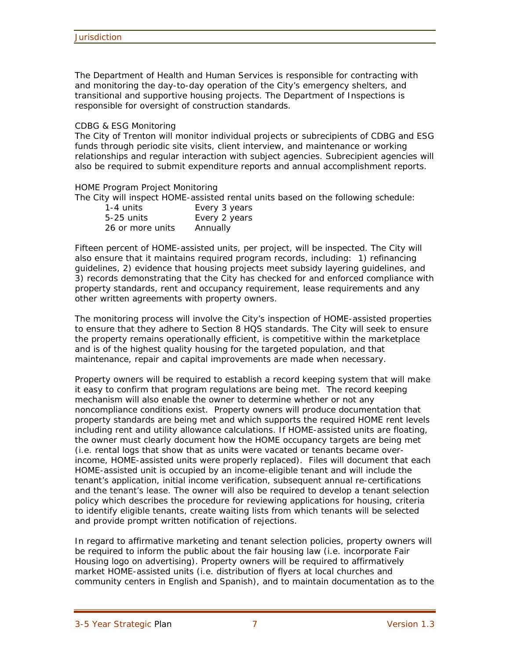The Department of Health and Human Services is responsible for contracting with and monitoring the day-to-day operation of the City's emergency shelters, and transitional and supportive housing projects. The Department of Inspections is responsible for oversight of construction standards.

#### CDBG & ESG Monitoring

The City of Trenton will monitor individual projects or subrecipients of CDBG and ESG funds through periodic site visits, client interview, and maintenance or working relationships and regular interaction with subject agencies. Subrecipient agencies will also be required to submit expenditure reports and annual accomplishment reports.

#### HOME Program Project Monitoring

The City will inspect HOME-assisted rental units based on the following schedule:

| 1-4 units        | Every 3 years |
|------------------|---------------|
| $5-25$ units     | Every 2 years |
| 26 or more units | Annually      |

Fifteen percent of HOME-assisted units, per project, will be inspected. The City will also ensure that it maintains required program records, including: 1) refinancing guidelines, 2) evidence that housing projects meet subsidy layering guidelines, and 3) records demonstrating that the City has checked for and enforced compliance with property standards, rent and occupancy requirement, lease requirements and any other written agreements with property owners.

The monitoring process will involve the City's inspection of HOME-assisted properties to ensure that they adhere to Section 8 HQS standards. The City will seek to ensure the property remains operationally efficient, is competitive within the marketplace and is of the highest quality housing for the targeted population, and that maintenance, repair and capital improvements are made when necessary.

Property owners will be required to establish a record keeping system that will make it easy to confirm that program regulations are being met. The record keeping mechanism will also enable the owner to determine whether or not any noncompliance conditions exist. Property owners will produce documentation that property standards are being met and which supports the required HOME rent levels including rent and utility allowance calculations. If HOME-assisted units are floating, the owner must clearly document how the HOME occupancy targets are being met (i.e. rental logs that show that as units were vacated or tenants became overincome, HOME-assisted units were properly replaced). Files will document that each HOME-assisted unit is occupied by an income-eligible tenant and will include the tenant's application, initial income verification, subsequent annual re-certifications and the tenant's lease. The owner will also be required to develop a tenant selection policy which describes the procedure for reviewing applications for housing, criteria to identify eligible tenants, create waiting lists from which tenants will be selected and provide prompt written notification of rejections.

In regard to affirmative marketing and tenant selection policies, property owners will be required to inform the public about the fair housing law (i.e. incorporate Fair Housing logo on advertising). Property owners will be required to affirmatively market HOME-assisted units (i.e. distribution of flyers at local churches and community centers in English and Spanish), and to maintain documentation as to the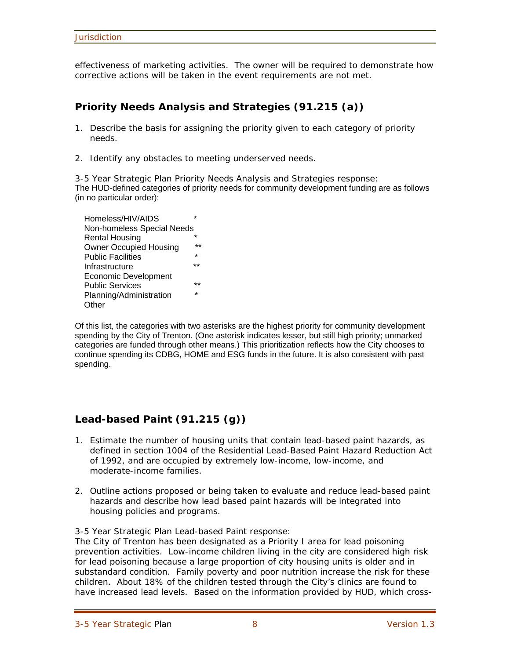effectiveness of marketing activities. The owner will be required to demonstrate how corrective actions will be taken in the event requirements are not met.

## **Priority Needs Analysis and Strategies (91.215 (a))**

- 1. Describe the basis for assigning the priority given to each category of priority needs.
- 2. Identify any obstacles to meeting underserved needs.

3-5 Year Strategic Plan Priority Needs Analysis and Strategies response: The HUD-defined categories of priority needs for community development funding are as follows (in no particular order):

Homeless/HIV/AIDS \* Non-homeless Special Needs **Rental Housing Owner Occupied Housing** Public Facilities \* **Infrastructure**  Economic Development Public Services Planning/Administration \* **Other** 

Of this list, the categories with two asterisks are the highest priority for community development spending by the City of Trenton. (One asterisk indicates lesser, but still high priority; unmarked categories are funded through other means.) This prioritization reflects how the City chooses to continue spending its CDBG, HOME and ESG funds in the future. It is also consistent with past spending.

## **Lead-based Paint (91.215 (g))**

- 1. Estimate the number of housing units that contain lead-based paint hazards, as defined in section 1004 of the Residential Lead-Based Paint Hazard Reduction Act of 1992, and are occupied by extremely low-income, low-income, and moderate-income families.
- 2. Outline actions proposed or being taken to evaluate and reduce lead-based paint hazards and describe how lead based paint hazards will be integrated into housing policies and programs.
- 3-5 Year Strategic Plan Lead-based Paint response:

The City of Trenton has been designated as a Priority I area for lead poisoning prevention activities. Low-income children living in the city are considered high risk for lead poisoning because a large proportion of city housing units is older and in substandard condition. Family poverty and poor nutrition increase the risk for these children. About 18% of the children tested through the City's clinics are found to have increased lead levels. Based on the information provided by HUD, which cross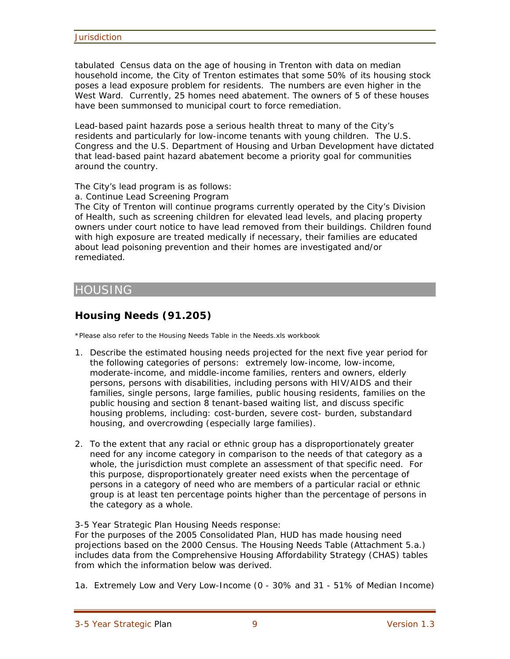tabulated Census data on the age of housing in Trenton with data on median household income, the City of Trenton estimates that some 50% of its housing stock poses a lead exposure problem for residents. The numbers are even higher in the West Ward. Currently, 25 homes need abatement. The owners of 5 of these houses have been summonsed to municipal court to force remediation.

Lead-based paint hazards pose a serious health threat to many of the City's residents and particularly for low-income tenants with young children. The U.S. Congress and the U.S. Department of Housing and Urban Development have dictated that lead-based paint hazard abatement become a priority goal for communities around the country.

The City's lead program is as follows:

a. Continue Lead Screening Program

The City of Trenton will continue programs currently operated by the City's Division of Health, such as screening children for elevated lead levels, and placing property owners under court notice to have lead removed from their buildings. Children found with high exposure are treated medically if necessary, their families are educated about lead poisoning prevention and their homes are investigated and/or remediated.

## HOUSING

## **Housing Needs (91.205)**

\*Please also refer to the Housing Needs Table in the Needs.xls workbook

- 1. Describe the estimated housing needs projected for the next five year period for the following categories of persons: extremely low-income, low-income, moderate-income, and middle-income families, renters and owners, elderly persons, persons with disabilities, including persons with HIV/AIDS and their families, single persons, large families, public housing residents, families on the public housing and section 8 tenant-based waiting list, and discuss specific housing problems, including: cost-burden, severe cost- burden, substandard housing, and overcrowding (especially large families).
- 2. To the extent that any racial or ethnic group has a disproportionately greater need for any income category in comparison to the needs of that category as a whole, the jurisdiction must complete an assessment of that specific need. For this purpose, disproportionately greater need exists when the percentage of persons in a category of need who are members of a particular racial or ethnic group is at least ten percentage points higher than the percentage of persons in the category as a whole.

3-5 Year Strategic Plan Housing Needs response:

For the purposes of the 2005 Consolidated Plan, HUD has made housing need projections based on the 2000 Census. The Housing Needs Table (Attachment 5.a.) includes data from the Comprehensive Housing Affordability Strategy (CHAS) tables from which the information below was derived.

1a. Extremely Low and Very Low-Income (0 - 30% and 31 - 51% of Median Income)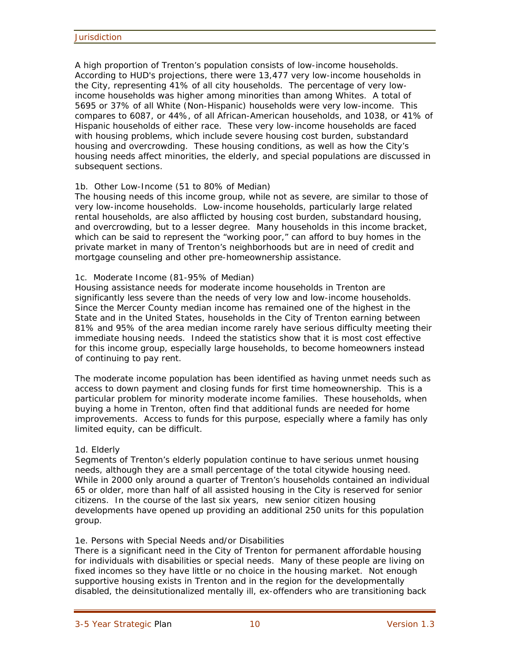A high proportion of Trenton's population consists of low-income households. According to HUD's projections, there were 13,477 very low-income households in the City, representing 41% of all city households. The percentage of very lowincome households was higher among minorities than among Whites. A total of 5695 or 37% of all White (Non-Hispanic) households were very low-income. This compares to 6087, or 44%, of all African-American households, and 1038, or 41% of Hispanic households of either race. These very low-income households are faced with housing problems, which include severe housing cost burden, substandard housing and overcrowding. These housing conditions, as well as how the City's housing needs affect minorities, the elderly, and special populations are discussed in subsequent sections.

#### 1b. Other Low-Income (51 to 80% of Median)

The housing needs of this income group, while not as severe, are similar to those of very low-income households. Low-income households, particularly large related rental households, are also afflicted by housing cost burden, substandard housing, and overcrowding, but to a lesser degree. Many households in this income bracket, which can be said to represent the "working poor," can afford to buy homes in the private market in many of Trenton's neighborhoods but are in need of credit and mortgage counseling and other pre-homeownership assistance.

#### 1c. Moderate Income (81-95% of Median)

Housing assistance needs for moderate income households in Trenton are significantly less severe than the needs of very low and low-income households. Since the Mercer County median income has remained one of the highest in the State and in the United States, households in the City of Trenton earning between 81% and 95% of the area median income rarely have serious difficulty meeting their immediate housing needs. Indeed the statistics show that it is most cost effective for this income group, especially large households, to become homeowners instead of continuing to pay rent.

The moderate income population has been identified as having unmet needs such as access to down payment and closing funds for first time homeownership. This is a particular problem for minority moderate income families. These households, when buying a home in Trenton, often find that additional funds are needed for home improvements. Access to funds for this purpose, especially where a family has only limited equity, can be difficult.

#### 1d. Elderly

Segments of Trenton's elderly population continue to have serious unmet housing needs, although they are a small percentage of the total citywide housing need. While in 2000 only around a quarter of Trenton's households contained an individual 65 or older, more than half of all assisted housing in the City is reserved for senior citizens. In the course of the last six years, new senior citizen housing developments have opened up providing an additional 250 units for this population group.

#### 1e. Persons with Special Needs and/or Disabilities

There is a significant need in the City of Trenton for permanent affordable housing for individuals with disabilities or special needs. Many of these people are living on fixed incomes so they have little or no choice in the housing market. Not enough supportive housing exists in Trenton and in the region for the developmentally disabled, the deinsitutionalized mentally ill, ex-offenders who are transitioning back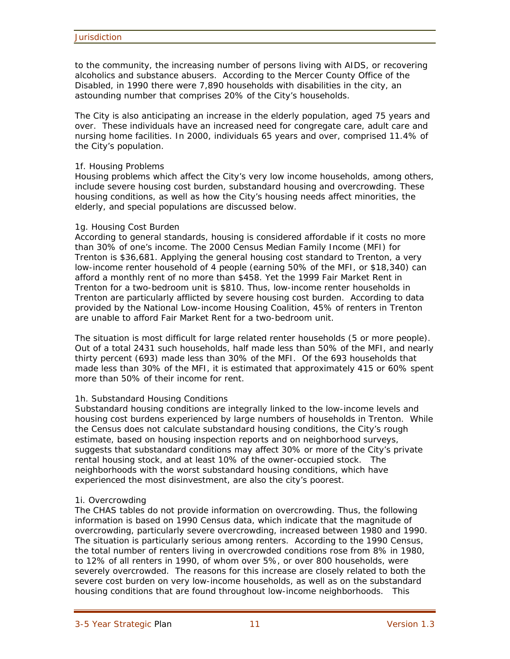to the community, the increasing number of persons living with AIDS, or recovering alcoholics and substance abusers. According to the Mercer County Office of the Disabled, in 1990 there were 7,890 households with disabilities in the city, an astounding number that comprises 20% of the City's households.

The City is also anticipating an increase in the elderly population, aged 75 years and over. These individuals have an increased need for congregate care, adult care and nursing home facilities. In 2000, individuals 65 years and over, comprised 11.4% of the City's population.

#### 1f. Housing Problems

Housing problems which affect the City's very low income households, among others, include severe housing cost burden, substandard housing and overcrowding. These housing conditions, as well as how the City's housing needs affect minorities, the elderly, and special populations are discussed below.

#### 1g. Housing Cost Burden

According to general standards, housing is considered affordable if it costs no more than 30% of one's income. The 2000 Census Median Family Income (MFI) for Trenton is \$36,681. Applying the general housing cost standard to Trenton, a very low-income renter household of 4 people (earning 50% of the MFI, or \$18,340) can afford a monthly rent of no more than \$458. Yet the 1999 Fair Market Rent in Trenton for a two-bedroom unit is \$810. Thus, low-income renter households in Trenton are particularly afflicted by severe housing cost burden. According to data provided by the National Low-income Housing Coalition, 45% of renters in Trenton are unable to afford Fair Market Rent for a two-bedroom unit.

The situation is most difficult for large related renter households (5 or more people). Out of a total 2431 such households, half made less than 50% of the MFI, and nearly thirty percent (693) made less than 30% of the MFI. Of the 693 households that made less than 30% of the MFI, it is estimated that approximately 415 or 60% spent more than 50% of their income for rent.

#### 1h. Substandard Housing Conditions

Substandard housing conditions are integrally linked to the low-income levels and housing cost burdens experienced by large numbers of households in Trenton. While the Census does not calculate substandard housing conditions, the City's rough estimate, based on housing inspection reports and on neighborhood surveys, suggests that substandard conditions may affect 30% or more of the City's private rental housing stock, and at least 10% of the owner-occupied stock. The neighborhoods with the worst substandard housing conditions, which have experienced the most disinvestment, are also the city's poorest.

#### 1i. Overcrowding

The CHAS tables do not provide information on overcrowding. Thus, the following information is based on 1990 Census data, which indicate that the magnitude of overcrowding, particularly severe overcrowding, increased between 1980 and 1990. The situation is particularly serious among renters. According to the 1990 Census, the total number of renters living in overcrowded conditions rose from 8% in 1980, to 12% of all renters in 1990, of whom over 5%, or over 800 households, were severely overcrowded. The reasons for this increase are closely related to both the severe cost burden on very low-income households, as well as on the substandard housing conditions that are found throughout low-income neighborhoods. This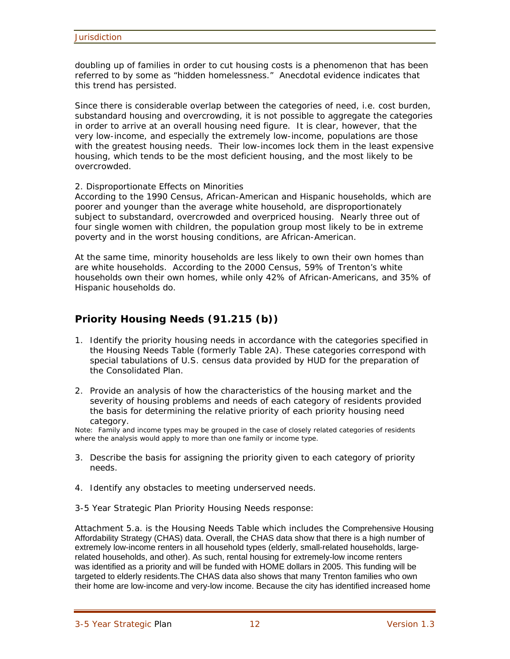doubling up of families in order to cut housing costs is a phenomenon that has been referred to by some as "hidden homelessness." Anecdotal evidence indicates that this trend has persisted.

Since there is considerable overlap between the categories of need, i.e. cost burden, substandard housing and overcrowding, it is not possible to aggregate the categories in order to arrive at an overall housing need figure. It is clear, however, that the very low-income, and especially the extremely low-income, populations are those with the greatest housing needs. Their low-incomes lock them in the least expensive housing, which tends to be the most deficient housing, and the most likely to be overcrowded.

2. Disproportionate Effects on Minorities

According to the 1990 Census, African-American and Hispanic households, which are poorer and younger than the average white household, are disproportionately subject to substandard, overcrowded and overpriced housing. Nearly three out of four single women with children, the population group most likely to be in extreme poverty and in the worst housing conditions, are African-American.

At the same time, minority households are less likely to own their own homes than are white households. According to the 2000 Census, 59% of Trenton's white households own their own homes, while only 42% of African-Americans, and 35% of Hispanic households do.

## **Priority Housing Needs (91.215 (b))**

- 1. Identify the priority housing needs in accordance with the categories specified in the Housing Needs Table (formerly Table 2A). These categories correspond with special tabulations of U.S. census data provided by HUD for the preparation of the Consolidated Plan.
- 2. Provide an analysis of how the characteristics of the housing market and the severity of housing problems and needs of each category of residents provided the basis for determining the relative priority of each priority housing need category.

Note: Family and income types may be grouped in the case of closely related categories of residents where the analysis would apply to more than one family or income type.

- 3. Describe the basis for assigning the priority given to each category of priority needs.
- 4. Identify any obstacles to meeting underserved needs.

3-5 Year Strategic Plan Priority Housing Needs response:

Attachment 5.a. is the Housing Needs Table which includes the Comprehensive Housing Affordability Strategy (CHAS) data. Overall, the CHAS data show that there is a high number of extremely low-income renters in all household types (elderly, small-related households, largerelated households, and other). As such, rental housing for extremely-low income renters was identified as a priority and will be funded with HOME dollars in 2005. This funding will be targeted to elderly residents.The CHAS data also shows that many Trenton families who own their home are low-income and very-low income. Because the city has identified increased home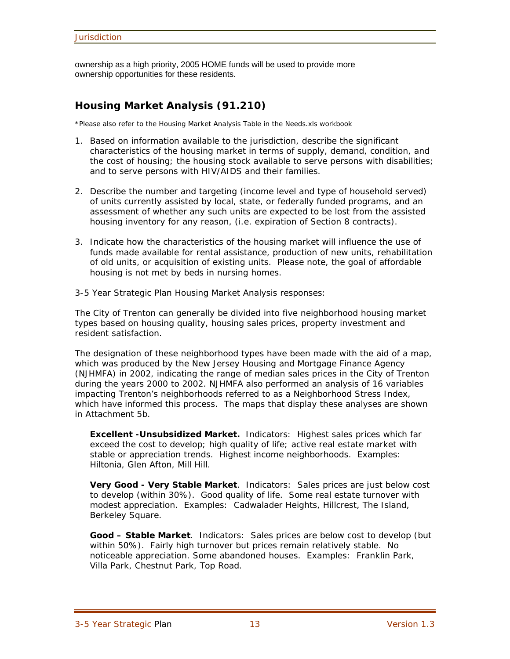ownership as a high priority, 2005 HOME funds will be used to provide more ownership opportunities for these residents.

## **Housing Market Analysis (91.210)**

\*Please also refer to the Housing Market Analysis Table in the Needs.xls workbook

- 1. Based on information available to the jurisdiction, describe the significant characteristics of the housing market in terms of supply, demand, condition, and the cost of housing; the housing stock available to serve persons with disabilities; and to serve persons with HIV/AIDS and their families.
- 2. Describe the number and targeting (income level and type of household served) of units currently assisted by local, state, or federally funded programs, and an assessment of whether any such units are expected to be lost from the assisted housing inventory for any reason, (i.e. expiration of Section 8 contracts).
- 3. Indicate how the characteristics of the housing market will influence the use of funds made available for rental assistance, production of new units, rehabilitation of old units, or acquisition of existing units. Please note, the goal of affordable housing is not met by beds in nursing homes.

3-5 Year Strategic Plan Housing Market Analysis responses:

The City of Trenton can generally be divided into five neighborhood housing market types based on housing quality, housing sales prices, property investment and resident satisfaction.

The designation of these neighborhood types have been made with the aid of a map, which was produced by the New Jersey Housing and Mortgage Finance Agency (NJHMFA) in 2002, indicating the range of median sales prices in the City of Trenton during the years 2000 to 2002. NJHMFA also performed an analysis of 16 variables impacting Trenton's neighborhoods referred to as a Neighborhood Stress Index, which have informed this process. The maps that display these analyses are shown in Attachment 5b.

**Excellent -Unsubsidized Market.** Indicators: Highest sales prices which far exceed the cost to develop; high quality of life; active real estate market with stable or appreciation trends. Highest income neighborhoods. Examples: Hiltonia, Glen Afton, Mill Hill.

**Very Good - Very Stable Market**. Indicators: Sales prices are just below cost to develop (within 30%). Good quality of life. Some real estate turnover with modest appreciation. Examples: Cadwalader Heights, Hillcrest, The Island, Berkeley Square.

**Good – Stable Market**. Indicators: Sales prices are below cost to develop (but within 50%). Fairly high turnover but prices remain relatively stable. No noticeable appreciation. Some abandoned houses. Examples: Franklin Park, Villa Park, Chestnut Park, Top Road.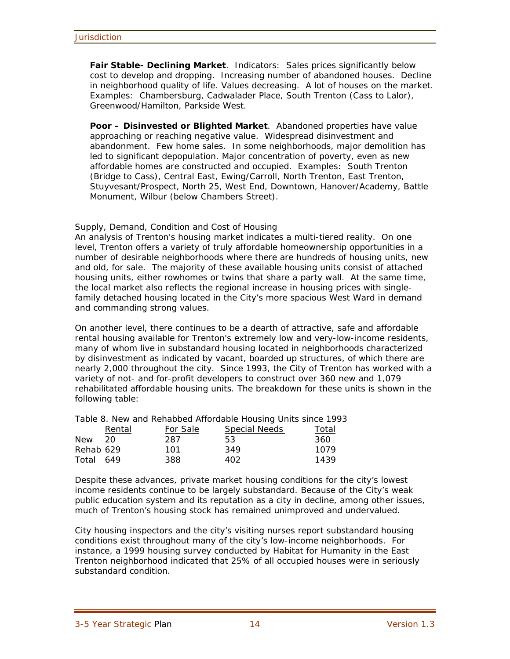**Fair Stable- Declining Market**. Indicators: Sales prices significantly below cost to develop and dropping. Increasing number of abandoned houses. Decline in neighborhood quality of life. Values decreasing. A lot of houses on the market. Examples: Chambersburg, Cadwalader Place, South Trenton (Cass to Lalor), Greenwood/Hamilton, Parkside West.

**Poor – Disinvested or Blighted Market**. Abandoned properties have value approaching or reaching negative value. Widespread disinvestment and abandonment. Few home sales. In some neighborhoods, major demolition has led to significant depopulation. Major concentration of poverty, even as new affordable homes are constructed and occupied. Examples: South Trenton (Bridge to Cass), Central East, Ewing/Carroll, North Trenton, East Trenton, Stuyvesant/Prospect, North 25, West End, Downtown, Hanover/Academy, Battle Monument, Wilbur (below Chambers Street).

#### Supply, Demand, Condition and Cost of Housing

An analysis of Trenton's housing market indicates a multi-tiered reality. On one level, Trenton offers a variety of truly affordable homeownership opportunities in a number of desirable neighborhoods where there are hundreds of housing units, new and old, for sale. The majority of these available housing units consist of attached housing units, either rowhomes or twins that share a party wall. At the same time, the local market also reflects the regional increase in housing prices with singlefamily detached housing located in the City's more spacious West Ward in demand and commanding strong values.

On another level, there continues to be a dearth of attractive, safe and affordable rental housing available for Trenton's extremely low and very-low-income residents, many of whom live in substandard housing located in neighborhoods characterized by disinvestment as indicated by vacant, boarded up structures, of which there are nearly 2,000 throughout the city. Since 1993, the City of Trenton has worked with a variety of not- and for-profit developers to construct over 360 new and 1,079 rehabilitated affordable housing units. The breakdown for these units is shown in the following table:

Table 8. New and Rehabbed Affordable Housing Units since 1993

|            | Rental | For Sale | <b>Special Needs</b> | Total |
|------------|--------|----------|----------------------|-------|
| <b>New</b> | 20     | 287      | 53                   | 360   |
| Rehab 629  |        | 101      | 349                  | 1079  |
| Total 649  |        | 388      | 402                  | 1439  |

Despite these advances, private market housing conditions for the city's lowest income residents continue to be largely substandard. Because of the City's weak public education system and its reputation as a city in decline, among other issues, much of Trenton's housing stock has remained unimproved and undervalued.

City housing inspectors and the city's visiting nurses report substandard housing conditions exist throughout many of the city's low-income neighborhoods. For instance, a 1999 housing survey conducted by Habitat for Humanity in the East Trenton neighborhood indicated that 25% of all occupied houses were in seriously substandard condition.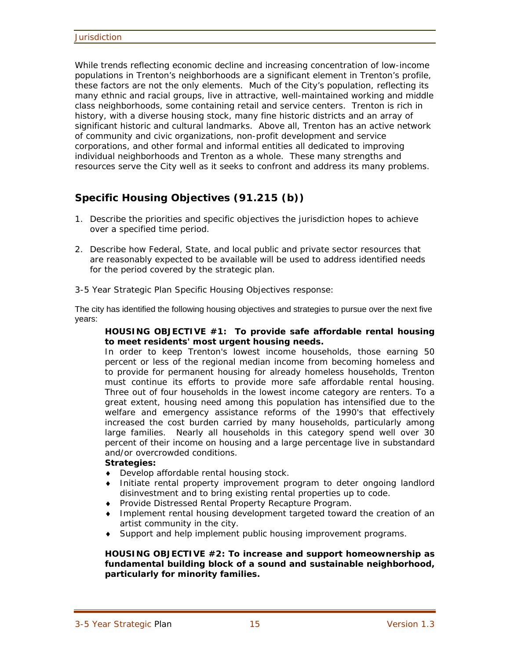While trends reflecting economic decline and increasing concentration of low-income populations in Trenton's neighborhoods are a significant element in Trenton's profile, these factors are not the only elements. Much of the City's population, reflecting its many ethnic and racial groups, live in attractive, well-maintained working and middle class neighborhoods, some containing retail and service centers. Trenton is rich in history, with a diverse housing stock, many fine historic districts and an array of significant historic and cultural landmarks. Above all, Trenton has an active network of community and civic organizations, non-profit development and service corporations, and other formal and informal entities all dedicated to improving individual neighborhoods and Trenton as a whole. These many strengths and resources serve the City well as it seeks to confront and address its many problems.

## **Specific Housing Objectives (91.215 (b))**

- 1. Describe the priorities and specific objectives the jurisdiction hopes to achieve over a specified time period.
- 2. Describe how Federal, State, and local public and private sector resources that are reasonably expected to be available will be used to address identified needs for the period covered by the strategic plan.
- 3-5 Year Strategic Plan Specific Housing Objectives response:

The city has identified the following housing objectives and strategies to pursue over the next five years:

#### **HOUSING OBJECTIVE #1: To provide safe affordable rental housing to meet residents' most urgent housing needs.**

In order to keep Trenton's lowest income households, those earning 50 percent or less of the regional median income from becoming homeless and to provide for permanent housing for already homeless households, Trenton must continue its efforts to provide more safe affordable rental housing. Three out of four households in the lowest income category are renters. To a great extent, housing need among this population has intensified due to the welfare and emergency assistance reforms of the 1990's that effectively increased the cost burden carried by many households, particularly among large families. Nearly all households in this category spend well over 30 percent of their income on housing and a large percentage live in substandard and/or overcrowded conditions.

#### *Strategies:*

- ♦ Develop affordable rental housing stock.
- ♦ Initiate rental property improvement program to deter ongoing landlord disinvestment and to bring existing rental properties up to code.
- ♦ Provide Distressed Rental Property Recapture Program.
- ♦ Implement rental housing development targeted toward the creation of an artist community in the city.
- Support and help implement public housing improvement programs.

#### **HOUSING OBJECTIVE #2: To increase and support homeownership as fundamental building block of a sound and sustainable neighborhood, particularly for minority families.**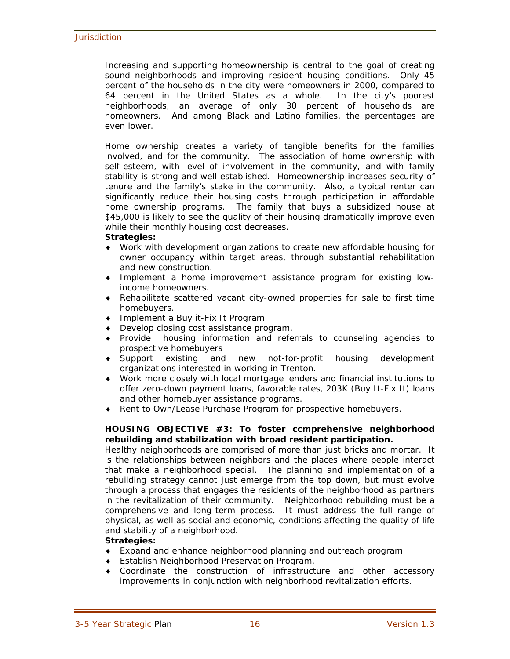Increasing and supporting homeownership is central to the goal of creating sound neighborhoods and improving resident housing conditions. Only 45 percent of the households in the city were homeowners in 2000, compared to 64 percent in the United States as a whole. In the city's poorest neighborhoods, an average of only 30 percent of households are homeowners. And among Black and Latino families, the percentages are even lower.

Home ownership creates a variety of tangible benefits for the families involved, and for the community. The association of home ownership with self-esteem, with level of involvement in the community, and with family stability is strong and well established. Homeownership increases security of tenure and the family's stake in the community. Also, a typical renter can significantly reduce their housing costs through participation in affordable home ownership programs. The family that buys a subsidized house at \$45,000 is likely to see the quality of their housing dramatically improve even while their monthly housing cost decreases.

#### *Strategies:*

- ♦ Work with development organizations to create new affordable housing for owner occupancy within target areas, through substantial rehabilitation and new construction.
- ♦ Implement a home improvement assistance program for existing lowincome homeowners.
- ♦ Rehabilitate scattered vacant city-owned properties for sale to first time homebuyers.
- ♦ Implement a Buy it-Fix It Program.
- ♦ Develop closing cost assistance program.
- ♦ Provide housing information and referrals to counseling agencies to prospective homebuyers
- ♦ Support existing and new not-for-profit housing development organizations interested in working in Trenton.
- ♦ Work more closely with local mortgage lenders and financial institutions to offer zero-down payment loans, favorable rates, 203K (Buy It-Fix It) loans and other homebuyer assistance programs.
- ♦ Rent to Own/Lease Purchase Program for prospective homebuyers.

#### **HOUSING OBJECTIVE #3: To foster ccmprehensive neighborhood rebuilding and stabilization with broad resident participation.**

Healthy neighborhoods are comprised of more than just bricks and mortar. It is the relationships between neighbors and the places where people interact that make a neighborhood special. The planning and implementation of a rebuilding strategy cannot just emerge from the top down, but must evolve through a process that engages the residents of the neighborhood as partners in the revitalization of their community. Neighborhood rebuilding must be a comprehensive and long-term process. It must address the full range of physical, as well as social and economic, conditions affecting the quality of life and stability of a neighborhood.

#### *Strategies:*

- ♦ Expand and enhance neighborhood planning and outreach program.
- ♦ Establish Neighborhood Preservation Program.
- ♦ Coordinate the construction of infrastructure and other accessory improvements in conjunction with neighborhood revitalization efforts.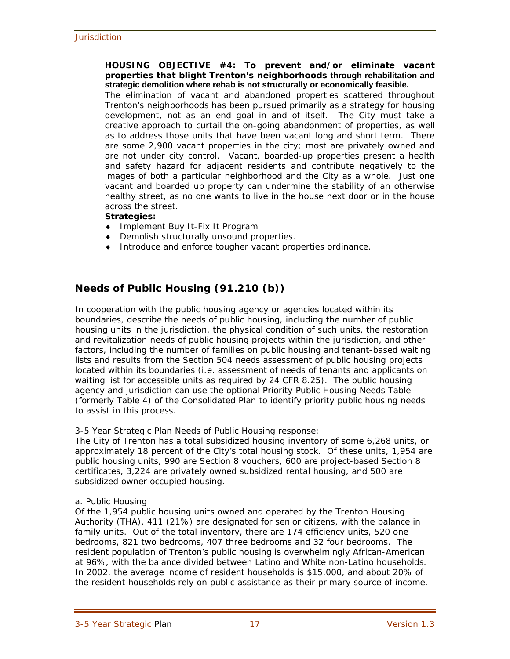#### **HOUSING OBJECTIVE #4: To prevent and/or eliminate vacant properties that blight Trenton's neighborhoods through rehabilitation and strategic demolition where rehab is not structurally or economically feasible.**

The elimination of vacant and abandoned properties scattered throughout Trenton's neighborhoods has been pursued primarily as a strategy for housing development, not as an end goal in and of itself. The City must take a creative approach to curtail the on-going abandonment of properties, as well as to address those units that have been vacant long and short term. There are some 2,900 vacant properties in the city; most are privately owned and are not under city control. Vacant, boarded-up properties present a health and safety hazard for adjacent residents and contribute negatively to the images of both a particular neighborhood and the City as a whole. Just one vacant and boarded up property can undermine the stability of an otherwise healthy street, as no one wants to live in the house next door or in the house across the street.

#### *Strategies:*

- ♦ Implement Buy It-Fix It Program
- ♦ Demolish structurally unsound properties.
- ♦ Introduce and enforce tougher vacant properties ordinance.

## **Needs of Public Housing (91.210 (b))**

In cooperation with the public housing agency or agencies located within its boundaries, describe the needs of public housing, including the number of public housing units in the jurisdiction, the physical condition of such units, the restoration and revitalization needs of public housing projects within the jurisdiction, and other factors, including the number of families on public housing and tenant-based waiting lists and results from the Section 504 needs assessment of public housing projects located within its boundaries (i.e. assessment of needs of tenants and applicants on waiting list for accessible units as required by 24 CFR 8.25). The public housing agency and jurisdiction can use the optional Priority Public Housing Needs Table (formerly Table 4) of the Consolidated Plan to identify priority public housing needs to assist in this process.

3-5 Year Strategic Plan Needs of Public Housing response:

The City of Trenton has a total subsidized housing inventory of some 6,268 units, or approximately 18 percent of the City's total housing stock. Of these units, 1,954 are public housing units, 990 are Section 8 vouchers, 600 are project-based Section 8 certificates, 3,224 are privately owned subsidized rental housing, and 500 are subsidized owner occupied housing.

#### a. Public Housing

Of the 1,954 public housing units owned and operated by the Trenton Housing Authority (THA), 411 (21%) are designated for senior citizens, with the balance in family units. Out of the total inventory, there are 174 efficiency units, 520 one bedrooms, 821 two bedrooms, 407 three bedrooms and 32 four bedrooms. The resident population of Trenton's public housing is overwhelmingly African-American at 96%, with the balance divided between Latino and White non-Latino households. In 2002, the average income of resident households is \$15,000, and about 20% of the resident households rely on public assistance as their primary source of income.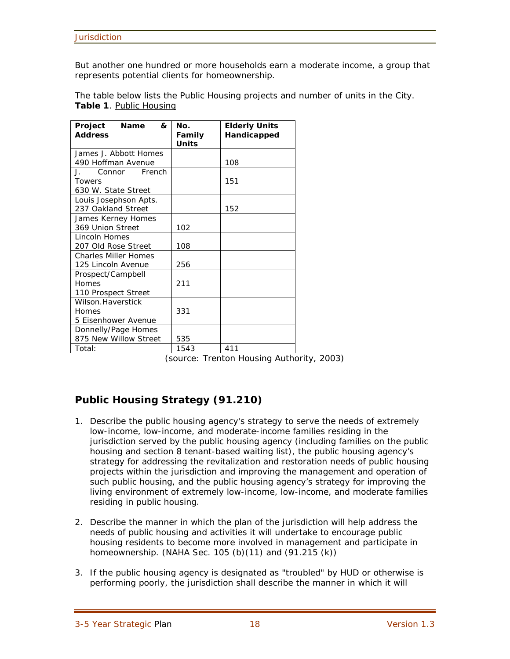But another one hundred or more households earn a moderate income, a group that represents potential clients for homeownership.

The table below lists the Public Housing projects and number of units in the City. **Table 1**. Public Housing

| Project<br><b>Name</b><br>&<br><b>Address</b> | Nο.<br>Family<br><b>Units</b> | <b>Elderly Units</b><br>Handicapped |
|-----------------------------------------------|-------------------------------|-------------------------------------|
| James J. Abbott Homes                         |                               |                                     |
| 490 Hoffman Avenue                            |                               | 108                                 |
| Connor French<br>$\mathbf{J}_{\mathbf{r}}$    |                               |                                     |
| <b>Towers</b>                                 |                               | 151                                 |
| 630 W. State Street                           |                               |                                     |
| Louis Josephson Apts.                         |                               |                                     |
| 237 Oakland Street                            |                               | 152                                 |
| James Kerney Homes                            |                               |                                     |
| 369 Union Street                              | 102                           |                                     |
| Lincoln Homes                                 |                               |                                     |
| 207 Old Rose Street                           | 108                           |                                     |
| <b>Charles Miller Homes</b>                   |                               |                                     |
| 125 Lincoln Avenue                            | 256                           |                                     |
| Prospect/Campbell                             |                               |                                     |
| Homes                                         | 211                           |                                     |
| 110 Prospect Street                           |                               |                                     |
| Wilson.Haverstick                             |                               |                                     |
| Homes                                         | 331                           |                                     |
| 5 Eisenhower Avenue                           |                               |                                     |
| Donnelly/Page Homes                           |                               |                                     |
| 875 New Willow Street                         | 535                           |                                     |
| Total:                                        | 1543                          | 411                                 |

(source: Trenton Housing Authority, 2003)

## **Public Housing Strategy (91.210)**

- 1. Describe the public housing agency's strategy to serve the needs of extremely low-income, low-income, and moderate-income families residing in the jurisdiction served by the public housing agency (including families on the public housing and section 8 tenant-based waiting list), the public housing agency's strategy for addressing the revitalization and restoration needs of public housing projects within the jurisdiction and improving the management and operation of such public housing, and the public housing agency's strategy for improving the living environment of extremely low-income, low-income, and moderate families residing in public housing.
- 2. Describe the manner in which the plan of the jurisdiction will help address the needs of public housing and activities it will undertake to encourage public housing residents to become more involved in management and participate in homeownership. (NAHA Sec. 105 (b)(11) and (91.215 (k))
- 3. If the public housing agency is designated as "troubled" by HUD or otherwise is performing poorly, the jurisdiction shall describe the manner in which it will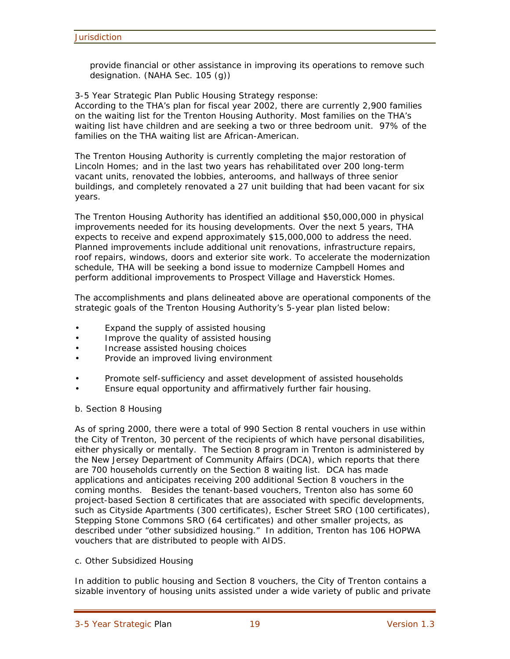provide financial or other assistance in improving its operations to remove such designation. (NAHA Sec. 105 (g))

3-5 Year Strategic Plan Public Housing Strategy response:

According to the THA's plan for fiscal year 2002, there are currently 2,900 families on the waiting list for the Trenton Housing Authority. Most families on the THA's waiting list have children and are seeking a two or three bedroom unit. 97% of the families on the THA waiting list are African-American.

The Trenton Housing Authority is currently completing the major restoration of Lincoln Homes; and in the last two years has rehabilitated over 200 long-term vacant units, renovated the lobbies, anterooms, and hallways of three senior buildings, and completely renovated a 27 unit building that had been vacant for six years.

The Trenton Housing Authority has identified an additional \$50,000,000 in physical improvements needed for its housing developments. Over the next 5 years, THA expects to receive and expend approximately \$15,000,000 to address the need. Planned improvements include additional unit renovations, infrastructure repairs, roof repairs, windows, doors and exterior site work. To accelerate the modernization schedule, THA will be seeking a bond issue to modernize Campbell Homes and perform additional improvements to Prospect Village and Haverstick Homes.

The accomplishments and plans delineated above are operational components of the strategic goals of the Trenton Housing Authority's 5-year plan listed below:

- Expand the supply of assisted housing
- Improve the quality of assisted housing
- Increase assisted housing choices
- Provide an improved living environment
- Promote self-sufficiency and asset development of assisted households
- Ensure equal opportunity and affirmatively further fair housing.

#### b. Section 8 Housing

As of spring 2000, there were a total of 990 Section 8 rental vouchers in use within the City of Trenton, 30 percent of the recipients of which have personal disabilities, either physically or mentally. The Section 8 program in Trenton is administered by the New Jersey Department of Community Affairs (DCA), which reports that there are 700 households currently on the Section 8 waiting list. DCA has made applications and anticipates receiving 200 additional Section 8 vouchers in the coming months. Besides the tenant-based vouchers, Trenton also has some 60 project-based Section 8 certificates that are associated with specific developments, such as Cityside Apartments (300 certificates), Escher Street SRO (100 certificates), Stepping Stone Commons SRO (64 certificates) and other smaller projects, as described under "other subsidized housing." In addition, Trenton has 106 HOPWA vouchers that are distributed to people with AIDS.

#### c. Other Subsidized Housing

In addition to public housing and Section 8 vouchers, the City of Trenton contains a sizable inventory of housing units assisted under a wide variety of public and private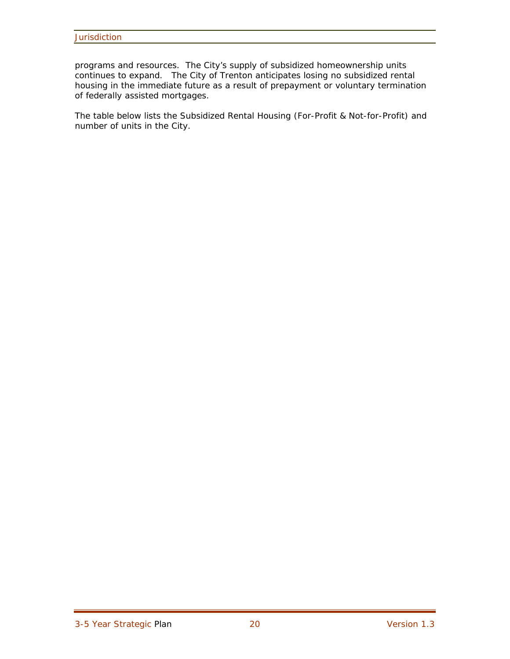programs and resources. The City's supply of subsidized homeownership units continues to expand. The City of Trenton anticipates losing no subsidized rental housing in the immediate future as a result of prepayment or voluntary termination of federally assisted mortgages.

The table below lists the Subsidized Rental Housing (For-Profit & Not-for-Profit) and number of units in the City.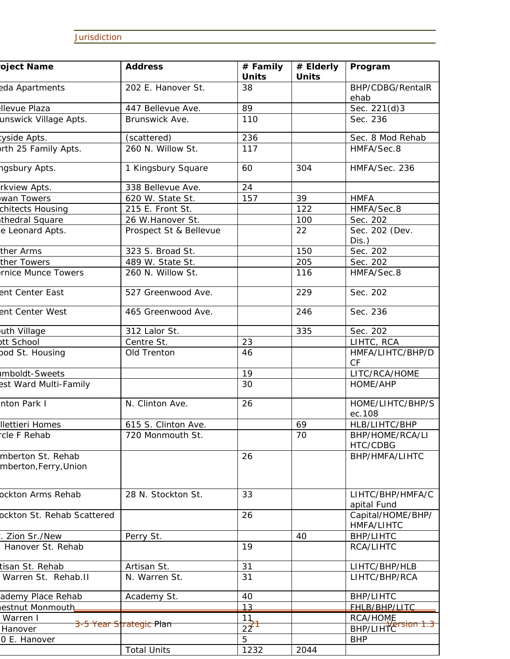## **Jurisdiction**

| oject Name                                 | <b>Address</b>                     | # Family<br><b>Units</b> | # Elderly<br><b>Units</b> | Program                         |
|--------------------------------------------|------------------------------------|--------------------------|---------------------------|---------------------------------|
| eda Apartments                             | 202 E. Hanover St.                 | 38                       |                           | BHP/CDBG/RentalR<br>ehab        |
| <b>Ilevue Plaza</b>                        | 447 Bellevue Ave.                  | 89                       |                           | Sec. 221(d)3                    |
| unswick Village Apts.                      | Brunswick Ave.                     | 110                      |                           | Sec. 236                        |
| tyside Apts.                               | (scattered)                        | 236                      |                           | Sec. 8 Mod Rehab                |
| orth 25 Family Apts.                       | 260 N. Willow St.                  | 117                      |                           | HMFA/Sec.8                      |
| ngsbury Apts.                              | 1 Kingsbury Square                 | 60                       | 304                       | HMFA/Sec. 236                   |
| rkview Apts.                               | 338 Bellevue Ave.                  | 24                       |                           |                                 |
| wan Towers                                 | 620 W. State St.                   | 157                      | 39                        | <b>HMFA</b>                     |
| chitects Housing                           | 215 E. Front St.                   |                          | 122                       | HMFA/Sec.8                      |
| thedral Square                             | 26 W.Hanover St.                   |                          | 100                       | Sec. 202                        |
| e Leonard Apts.                            | Prospect St & Bellevue             |                          | 22                        | Sec. 202 (Dev.<br>$Dis.$ )      |
| ther Arms                                  | 323 S. Broad St.                   |                          | 150                       | Sec. 202                        |
| ther Towers                                | 489 W. State St.                   |                          | 205                       | Sec. 202                        |
| rnice Munce Towers                         | 260 N. Willow St.                  |                          | 116                       | HMFA/Sec.8                      |
| ent Center East                            | 527 Greenwood Ave.                 |                          | 229                       | Sec. 202                        |
| ent Center West                            | 465 Greenwood Ave.                 |                          | 246                       | Sec. 236                        |
| uth Village                                | 312 Lalor St.                      |                          | 335                       | Sec. 202                        |
| ott School                                 | Centre St.                         | 23                       |                           | LIHTC, RCA                      |
| pod St. Housing                            | Old Trenton                        | 46                       |                           | HMFA/LIHTC/BHP/D<br><b>CF</b>   |
| <b>Imboldt-Sweets</b>                      |                                    | 19                       |                           | LITC/RCA/HOME                   |
| est Ward Multi-Family                      |                                    | 30                       |                           | HOME/AHP                        |
| nton Park I                                | N. Clinton Ave.                    | 26                       |                           | HOME/LIHTC/BHP/S<br>ec.108      |
| <b>Ilettieri Homes</b>                     | 615 S. Clinton Ave.                |                          | 69                        | HLB/LIHTC/BHP                   |
| cle F Rehab                                | 720 Monmouth St.                   |                          | 70                        | BHP/HOME/RCA/LI<br>HTC/CDBG     |
| mberton St. Rehab<br>mberton, Ferry, Union |                                    | 26                       |                           | BHP/HMFA/LIHTC                  |
| ockton Arms Rehab                          | 28 N. Stockton St.                 | 33                       |                           | LIHTC/BHP/HMFA/C<br>apital Fund |
| ockton St. Rehab Scattered                 |                                    | 26                       |                           | Capital/HOME/BHP/<br>HMFA/LIHTC |
| . Zion Sr./New                             | Perry St.                          |                          | 40                        | <b>BHP/LIHTC</b>                |
| Hanover St. Rehab                          |                                    | 19                       |                           | RCA/LIHTC                       |
| tisan St. Rehab                            | Artisan St.                        | 31                       |                           | LIHTC/BHP/HLB                   |
| Warren St. Rehab.II                        | N. Warren St.                      | 31                       |                           | LIHTC/BHP/RCA                   |
| ademy Place Rehab                          | Academy St.                        | 40                       |                           | <b>BHP/LIHTC</b>                |
| estnut Monmouth                            |                                    | 13                       |                           | FHLB/BHP/LITC                   |
| Warren I                                   |                                    | 11                       |                           | <b>RCA/HOME</b>                 |
| Hanover                                    | <del>3-5 Year Strategic Plan</del> | $22^{\frac{1}{2}}$       |                           | sion<br>BHP/LIHTCT              |
| 0 E. Hanover                               |                                    | 5                        |                           | <b>BHP</b>                      |
|                                            | <b>Total Units</b>                 | 1232                     | 2044                      |                                 |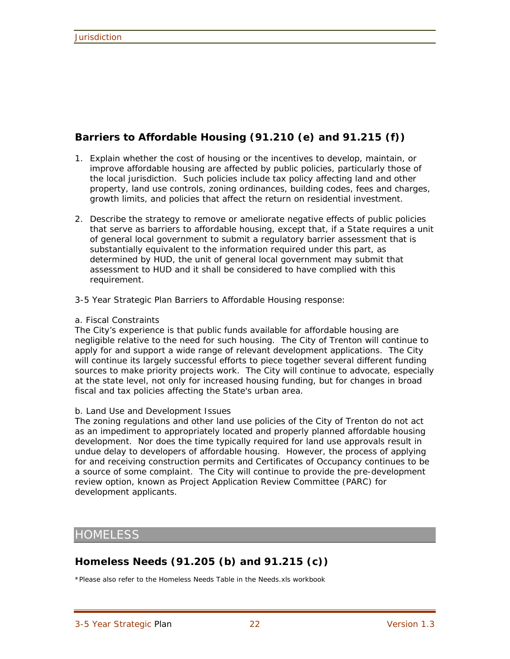## **Barriers to Affordable Housing (91.210 (e) and 91.215 (f))**

- 1. Explain whether the cost of housing or the incentives to develop, maintain, or improve affordable housing are affected by public policies, particularly those of the local jurisdiction. Such policies include tax policy affecting land and other property, land use controls, zoning ordinances, building codes, fees and charges, growth limits, and policies that affect the return on residential investment.
- 2. Describe the strategy to remove or ameliorate negative effects of public policies that serve as barriers to affordable housing, except that, if a State requires a unit of general local government to submit a regulatory barrier assessment that is substantially equivalent to the information required under this part, as determined by HUD, the unit of general local government may submit that assessment to HUD and it shall be considered to have complied with this requirement.
- 3-5 Year Strategic Plan Barriers to Affordable Housing response:

#### a. Fiscal Constraints

The City's experience is that public funds available for affordable housing are negligible relative to the need for such housing. The City of Trenton will continue to apply for and support a wide range of relevant development applications. The City will continue its largely successful efforts to piece together several different funding sources to make priority projects work. The City will continue to advocate, especially at the state level, not only for increased housing funding, but for changes in broad fiscal and tax policies affecting the State's urban area.

#### b. Land Use and Development Issues

The zoning regulations and other land use policies of the City of Trenton do not act as an impediment to appropriately located and properly planned affordable housing development. Nor does the time typically required for land use approvals result in undue delay to developers of affordable housing. However, the process of applying for and receiving construction permits and Certificates of Occupancy continues to be a source of some complaint. The City will continue to provide the pre-development review option, known as Project Application Review Committee (PARC) for development applicants.

## **HOMELESS**

## **Homeless Needs (91.205 (b) and 91.215 (c))**

\*Please also refer to the Homeless Needs Table in the Needs.xls workbook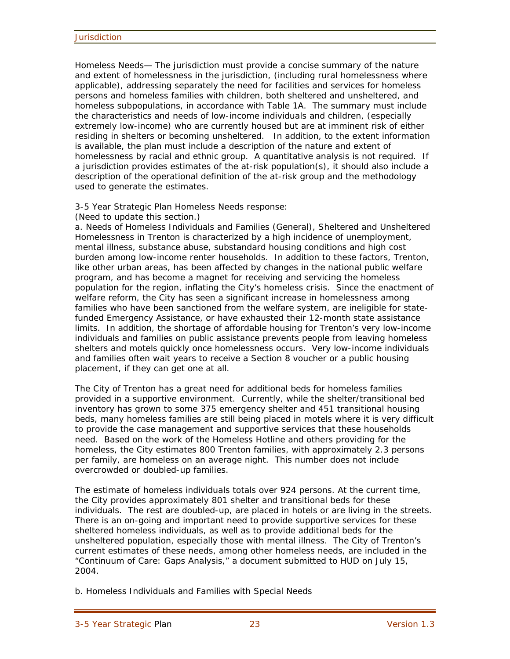Homeless Needs— The jurisdiction must provide a concise summary of the nature and extent of homelessness in the jurisdiction, (including rural homelessness where applicable), addressing separately the need for facilities and services for homeless persons and homeless families with children, both sheltered and unsheltered, and homeless subpopulations, in accordance with Table 1A. The summary must include the characteristics and needs of low-income individuals and children, (especially extremely low-income) who are currently housed but are at imminent risk of either residing in shelters or becoming unsheltered. In addition, to the extent information is available, the plan must include a description of the nature and extent of homelessness by racial and ethnic group. A quantitative analysis is not required. If a jurisdiction provides estimates of the at-risk population(s), it should also include a description of the operational definition of the at-risk group and the methodology used to generate the estimates.

#### 3-5 Year Strategic Plan Homeless Needs response:

(Need to update this section.)

a. Needs of Homeless Individuals and Families (General), Sheltered and Unsheltered Homelessness in Trenton is characterized by a high incidence of unemployment, mental illness, substance abuse, substandard housing conditions and high cost burden among low-income renter households. In addition to these factors, Trenton, like other urban areas, has been affected by changes in the national public welfare program, and has become a magnet for receiving and servicing the homeless population for the region, inflating the City's homeless crisis. Since the enactment of welfare reform, the City has seen a significant increase in homelessness among families who have been sanctioned from the welfare system, are ineligible for statefunded Emergency Assistance, or have exhausted their 12-month state assistance limits. In addition, the shortage of affordable housing for Trenton's very low-income individuals and families on public assistance prevents people from leaving homeless shelters and motels quickly once homelessness occurs. Very low-income individuals and families often wait years to receive a Section 8 voucher or a public housing placement, if they can get one at all.

The City of Trenton has a great need for additional beds for homeless families provided in a supportive environment. Currently, while the shelter/transitional bed inventory has grown to some 375 emergency shelter and 451 transitional housing beds, many homeless families are still being placed in motels where it is very difficult to provide the case management and supportive services that these households need. Based on the work of the Homeless Hotline and others providing for the homeless, the City estimates 800 Trenton families, with approximately 2.3 persons per family, are homeless on an average night. This number does not include overcrowded or doubled-up families.

The estimate of homeless individuals totals over 924 persons. At the current time, the City provides approximately 801 shelter and transitional beds for these individuals. The rest are doubled-up, are placed in hotels or are living in the streets. There is an on-going and important need to provide supportive services for these sheltered homeless individuals, as well as to provide additional beds for the unsheltered population, especially those with mental illness. The City of Trenton's current estimates of these needs, among other homeless needs, are included in the "Continuum of Care: Gaps Analysis," a document submitted to HUD on July 15, 2004.

b. Homeless Individuals and Families with Special Needs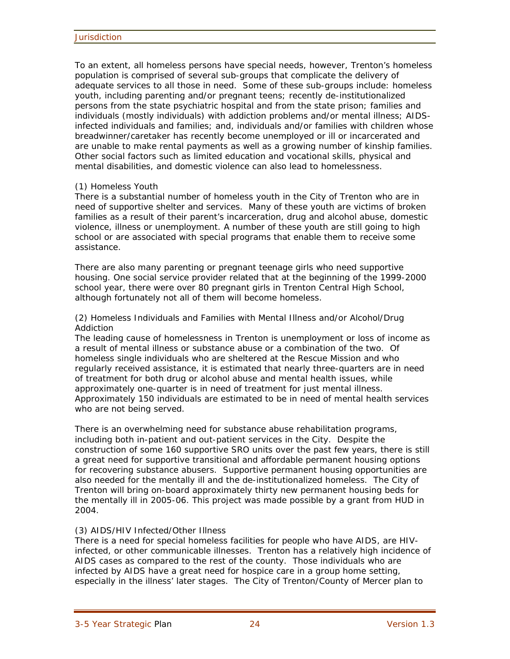To an extent, all homeless persons have special needs, however, Trenton's homeless population is comprised of several sub-groups that complicate the delivery of adequate services to all those in need. Some of these sub-groups include: homeless youth, including parenting and/or pregnant teens; recently de-institutionalized persons from the state psychiatric hospital and from the state prison; families and individuals (mostly individuals) with addiction problems and/or mental illness; AIDSinfected individuals and families; and, individuals and/or families with children whose breadwinner/caretaker has recently become unemployed or ill or incarcerated and are unable to make rental payments as well as a growing number of kinship families. Other social factors such as limited education and vocational skills, physical and mental disabilities, and domestic violence can also lead to homelessness.

#### (1) Homeless Youth

There is a substantial number of homeless youth in the City of Trenton who are in need of supportive shelter and services. Many of these youth are victims of broken families as a result of their parent's incarceration, drug and alcohol abuse, domestic violence, illness or unemployment. A number of these youth are still going to high school or are associated with special programs that enable them to receive some assistance.

There are also many parenting or pregnant teenage girls who need supportive housing. One social service provider related that at the beginning of the 1999-2000 school year, there were over 80 pregnant girls in Trenton Central High School, although fortunately not all of them will become homeless.

(2) Homeless Individuals and Families with Mental Illness and/or Alcohol/Drug Addiction

The leading cause of homelessness in Trenton is unemployment or loss of income as a result of mental illness or substance abuse or a combination of the two. Of homeless single individuals who are sheltered at the Rescue Mission and who regularly received assistance, it is estimated that nearly three-quarters are in need of treatment for both drug or alcohol abuse and mental health issues, while approximately one-quarter is in need of treatment for just mental illness. Approximately 150 individuals are estimated to be in need of mental health services who are not being served.

There is an overwhelming need for substance abuse rehabilitation programs, including both in-patient and out-patient services in the City. Despite the construction of some 160 supportive SRO units over the past few years, there is still a great need for supportive transitional and affordable permanent housing options for recovering substance abusers. Supportive permanent housing opportunities are also needed for the mentally ill and the de-institutionalized homeless. The City of Trenton will bring on-board approximately thirty new permanent housing beds for the mentally ill in 2005-06. This project was made possible by a grant from HUD in 2004.

#### (3) AIDS/HIV Infected/Other Illness

There is a need for special homeless facilities for people who have AIDS, are HIVinfected, or other communicable illnesses. Trenton has a relatively high incidence of AIDS cases as compared to the rest of the county. Those individuals who are infected by AIDS have a great need for hospice care in a group home setting, especially in the illness' later stages. The City of Trenton/County of Mercer plan to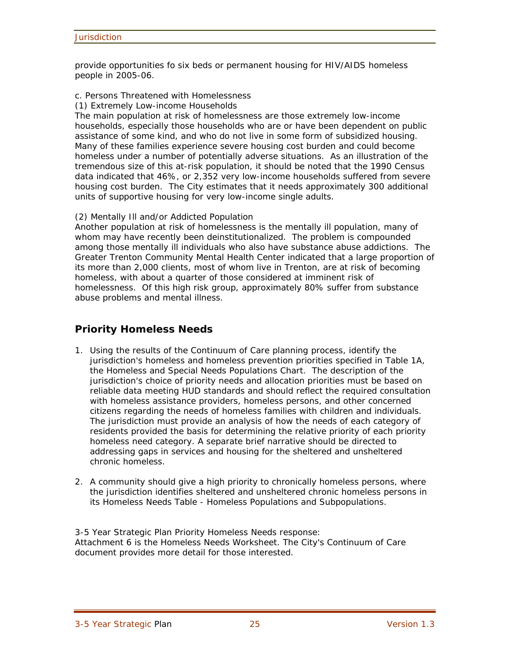provide opportunities fo six beds or permanent housing for HIV/AIDS homeless people in 2005-06.

#### c. Persons Threatened with Homelessness

(1) Extremely Low-income Households

The main population at risk of homelessness are those extremely low-income households, especially those households who are or have been dependent on public assistance of some kind, and who do not live in some form of subsidized housing. Many of these families experience severe housing cost burden and could become homeless under a number of potentially adverse situations. As an illustration of the tremendous size of this at-risk population, it should be noted that the 1990 Census data indicated that 46%, or 2,352 very low-income households suffered from severe housing cost burden. The City estimates that it needs approximately 300 additional units of supportive housing for very low-income single adults.

#### (2) Mentally Ill and/or Addicted Population

Another population at risk of homelessness is the mentally ill population, many of whom may have recently been deinstitutionalized. The problem is compounded among those mentally ill individuals who also have substance abuse addictions. The Greater Trenton Community Mental Health Center indicated that a large proportion of its more than 2,000 clients, most of whom live in Trenton, are at risk of becoming homeless, with about a quarter of those considered at imminent risk of homelessness. Of this high risk group, approximately 80% suffer from substance abuse problems and mental illness.

## **Priority Homeless Needs**

- 1. Using the results of the Continuum of Care planning process, identify the jurisdiction's homeless and homeless prevention priorities specified in Table 1A, the Homeless and Special Needs Populations Chart. The description of the jurisdiction's choice of priority needs and allocation priorities must be based on reliable data meeting HUD standards and should reflect the required consultation with homeless assistance providers, homeless persons, and other concerned citizens regarding the needs of homeless families with children and individuals. The jurisdiction must provide an analysis of how the needs of each category of residents provided the basis for determining the relative priority of each priority homeless need category. A separate brief narrative should be directed to addressing gaps in services and housing for the sheltered and unsheltered chronic homeless.
- 2. A community should give a high priority to chronically homeless persons, where the jurisdiction identifies sheltered and unsheltered chronic homeless persons in its Homeless Needs Table - Homeless Populations and Subpopulations.

3-5 Year Strategic Plan Priority Homeless Needs response: Attachment 6 is the Homeless Needs Worksheet. The City's Continuum of Care document provides more detail for those interested.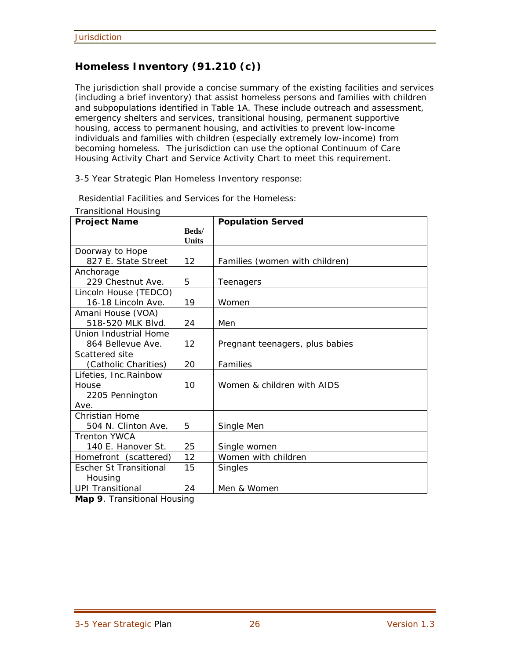## **Homeless Inventory (91.210 (c))**

The jurisdiction shall provide a concise summary of the existing facilities and services (including a brief inventory) that assist homeless persons and families with children and subpopulations identified in Table 1A. These include outreach and assessment, emergency shelters and services, transitional housing, permanent supportive housing, access to permanent housing, and activities to prevent low-income individuals and families with children (especially extremely low-income) from becoming homeless. The jurisdiction can use the optional Continuum of Care Housing Activity Chart and Service Activity Chart to meet this requirement.

3-5 Year Strategic Plan Homeless Inventory response:

| <b>Project Name</b>           |                               | <b>Population Served</b>        |
|-------------------------------|-------------------------------|---------------------------------|
|                               | <b>Beds</b> /<br><b>Units</b> |                                 |
| Doorway to Hope               |                               |                                 |
| 827 E. State Street           | 12                            | Families (women with children)  |
| Anchorage                     |                               |                                 |
| 229 Chestnut Ave.             | 5                             | Teenagers                       |
| Lincoln House (TEDCO)         |                               |                                 |
| 16-18 Lincoln Ave.            | 19                            | Women                           |
| Amani House (VOA)             |                               |                                 |
| 518-520 MLK Blvd.             | 24                            | Men                             |
| Union Industrial Home         |                               |                                 |
| 864 Bellevue Ave.             | 12                            | Pregnant teenagers, plus babies |
| Scattered site                |                               |                                 |
| (Catholic Charities)          | 20                            | Families                        |
| Lifeties, Inc. Rainbow        |                               |                                 |
| House                         | 10                            | Women & children with AIDS      |
| 2205 Pennington               |                               |                                 |
| Ave.                          |                               |                                 |
| Christian Home                |                               |                                 |
| 504 N. Clinton Ave.           | 5                             | Single Men                      |
| <b>Trenton YWCA</b>           |                               |                                 |
| 140 E. Hanover St.            | 25                            | Single women                    |
| Homefront (scattered)         | 12                            | Women with children             |
| <b>Escher St Transitional</b> | 15                            | <b>Singles</b>                  |
| Housing                       |                               |                                 |
| <b>UPI Transitional</b>       | 24                            | Men & Women                     |

Residential Facilities and Services for the Homeless:

Transitional Housing

**Map 9**. Transitional Housing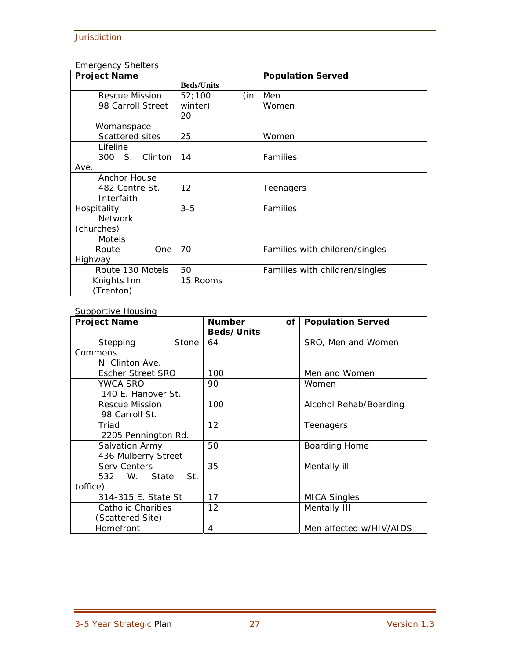### Emergency Shelters

| <b>Project Name</b> |                   | <b>Population Served</b>       |
|---------------------|-------------------|--------------------------------|
|                     | <b>Beds/Units</b> |                                |
| Rescue Mission      | 52;100<br>(in     | Men                            |
| 98 Carroll Street   | winter)           | Women                          |
|                     | 20                |                                |
| Womanspace          |                   |                                |
| Scattered sites     | 25                | Women                          |
| Lifeline            |                   |                                |
| 300 S. Clinton      | 14                | Families                       |
| Ave.                |                   |                                |
| Anchor House        |                   |                                |
| 482 Centre St.      | 12                | Teenagers                      |
| Interfaith          |                   |                                |
| Hospitality         | $3 - 5$           | Families                       |
| <b>Network</b>      |                   |                                |
| (churches)          |                   |                                |
| <b>Motels</b>       |                   |                                |
| Route<br>One        | 70                | Families with children/singles |
| Highway             |                   |                                |
| Route 130 Motels    | 50                | Families with children/singles |
| Knights Inn         | 15 Rooms          |                                |
| (Trenton)           |                   |                                |

#### Supportive Housing

| <u>sapper tris risashing</u><br><b>Project Name</b> | <b>Number</b><br>of<br>Beds/Units | <b>Population Served</b> |
|-----------------------------------------------------|-----------------------------------|--------------------------|
| Stepping<br>Stone                                   | 64                                | SRO, Men and Women       |
| Commons                                             |                                   |                          |
| N. Clinton Ave.                                     |                                   |                          |
| <b>Escher Street SRO</b>                            | 100                               | Men and Women            |
| <b>YWCA SRO</b>                                     | 90                                | Women                    |
| 140 E. Hanover St.                                  |                                   |                          |
| Rescue Mission                                      | 100                               | Alcohol Rehab/Boarding   |
| 98 Carroll St.                                      |                                   |                          |
| Triad                                               | 12                                | Teenagers                |
| 2205 Pennington Rd.                                 |                                   |                          |
| Salvation Army                                      | 50                                | Boarding Home            |
| 436 Mulberry Street                                 |                                   |                          |
| <b>Serv Centers</b>                                 | 35                                | Mentally ill             |
| 532 W. State St.                                    |                                   |                          |
| (office)                                            |                                   |                          |
| 314-315 E. State St                                 | 17                                | <b>MICA Singles</b>      |
| Catholic Charities                                  | 12                                | Mentally III             |
| (Scattered Site)                                    |                                   |                          |
| Homefront                                           | 4                                 | Men affected w/HIV/AIDS  |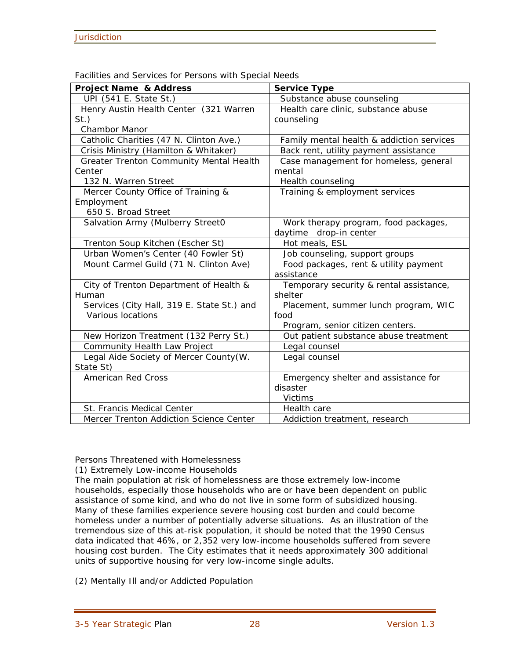| <b>Project Name &amp; Address</b>          | <b>Service Type</b>                       |
|--------------------------------------------|-------------------------------------------|
| UPI (541 E. State St.)                     | Substance abuse counseling                |
| Henry Austin Health Center (321 Warren     | Health care clinic, substance abuse       |
| $St.$ )                                    | counseling                                |
| <b>Chambor Manor</b>                       |                                           |
| Catholic Charities (47 N. Clinton Ave.)    | Family mental health & addiction services |
| Crisis Ministry (Hamilton & Whitaker)      | Back rent, utility payment assistance     |
| Greater Trenton Community Mental Health    | Case management for homeless, general     |
| Center                                     | mental                                    |
| 132 N. Warren Street                       | Health counseling                         |
| Mercer County Office of Training &         | Training & employment services            |
| Employment                                 |                                           |
| 650 S. Broad Street                        |                                           |
| Salvation Army (Mulberry Street0           | Work therapy program, food packages,      |
|                                            | daytime drop-in center                    |
| Trenton Soup Kitchen (Escher St)           | Hot meals, ESL                            |
| Urban Women's Center (40 Fowler St)        | Job counseling, support groups            |
| Mount Carmel Guild (71 N. Clinton Ave)     | Food packages, rent & utility payment     |
|                                            | assistance                                |
| City of Trenton Department of Health &     | Temporary security & rental assistance,   |
| Human                                      | shelter                                   |
| Services (City Hall, 319 E. State St.) and | Placement, summer lunch program, WIC      |
| Various locations                          | food                                      |
|                                            | Program, senior citizen centers.          |
| New Horizon Treatment (132 Perry St.)      | Out patient substance abuse treatment     |
| Community Health Law Project               | Legal counsel                             |
| Legal Aide Society of Mercer County (W.    | Legal counsel                             |
| State St)                                  |                                           |
| <b>American Red Cross</b>                  | Emergency shelter and assistance for      |
|                                            | disaster                                  |
|                                            | <b>Victims</b>                            |
| St. Francis Medical Center                 | Health care                               |
| Mercer Trenton Addiction Science Center    | Addiction treatment, research             |

Facilities and Services for Persons with Special Needs

Persons Threatened with Homelessness

(1) Extremely Low-income Households

The main population at risk of homelessness are those extremely low-income households, especially those households who are or have been dependent on public assistance of some kind, and who do not live in some form of subsidized housing. Many of these families experience severe housing cost burden and could become homeless under a number of potentially adverse situations. As an illustration of the tremendous size of this at-risk population, it should be noted that the 1990 Census data indicated that 46%, or 2,352 very low-income households suffered from severe housing cost burden. The City estimates that it needs approximately 300 additional units of supportive housing for very low-income single adults.

(2) Mentally Ill and/or Addicted Population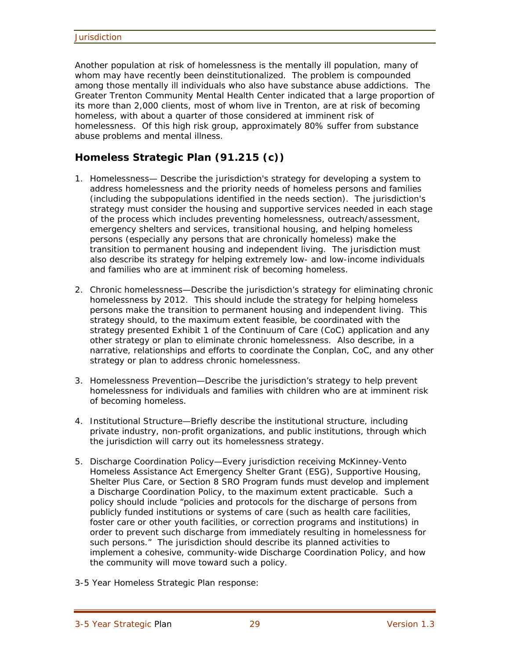Another population at risk of homelessness is the mentally ill population, many of whom may have recently been deinstitutionalized. The problem is compounded among those mentally ill individuals who also have substance abuse addictions. The Greater Trenton Community Mental Health Center indicated that a large proportion of its more than 2,000 clients, most of whom live in Trenton, are at risk of becoming homeless, with about a quarter of those considered at imminent risk of homelessness. Of this high risk group, approximately 80% suffer from substance abuse problems and mental illness.

## **Homeless Strategic Plan (91.215 (c))**

- 1. Homelessness— Describe the jurisdiction's strategy for developing a system to address homelessness and the priority needs of homeless persons and families (including the subpopulations identified in the needs section). The jurisdiction's strategy must consider the housing and supportive services needed in each stage of the process which includes preventing homelessness, outreach/assessment, emergency shelters and services, transitional housing, and helping homeless persons (especially any persons that are chronically homeless) make the transition to permanent housing and independent living. The jurisdiction must also describe its strategy for helping extremely low- and low-income individuals and families who are at imminent risk of becoming homeless.
- 2. Chronic homelessness—Describe the jurisdiction's strategy for eliminating chronic homelessness by 2012. This should include the strategy for helping homeless persons make the transition to permanent housing and independent living. This strategy should, to the maximum extent feasible, be coordinated with the strategy presented Exhibit 1 of the Continuum of Care (CoC) application and any other strategy or plan to eliminate chronic homelessness. Also describe, in a narrative, relationships and efforts to coordinate the Conplan, CoC, and any other strategy or plan to address chronic homelessness.
- 3. Homelessness Prevention—Describe the jurisdiction's strategy to help prevent homelessness for individuals and families with children who are at imminent risk of becoming homeless.
- 4. Institutional Structure—Briefly describe the institutional structure, including private industry, non-profit organizations, and public institutions, through which the jurisdiction will carry out its homelessness strategy.
- 5. Discharge Coordination Policy—Every jurisdiction receiving McKinney-Vento Homeless Assistance Act Emergency Shelter Grant (ESG), Supportive Housing, Shelter Plus Care, or Section 8 SRO Program funds must develop and implement a Discharge Coordination Policy, to the maximum extent practicable. Such a policy should include "policies and protocols for the discharge of persons from publicly funded institutions or systems of care (such as health care facilities, foster care or other youth facilities, or correction programs and institutions) in order to prevent such discharge from immediately resulting in homelessness for such persons." The jurisdiction should describe its planned activities to implement a cohesive, community-wide Discharge Coordination Policy, and how the community will move toward such a policy.
- 3-5 Year Homeless Strategic Plan response: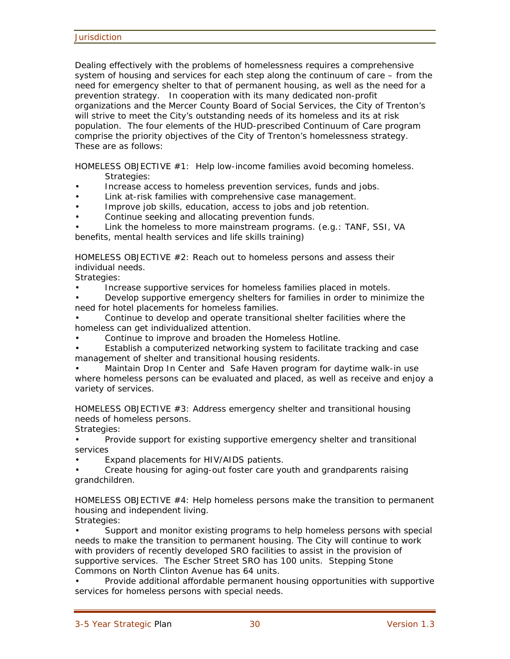Dealing effectively with the problems of homelessness requires a comprehensive system of housing and services for each step along the continuum of care – from the need for emergency shelter to that of permanent housing, as well as the need for a prevention strategy. In cooperation with its many dedicated non-profit organizations and the Mercer County Board of Social Services, the City of Trenton's will strive to meet the City's outstanding needs of its homeless and its at risk population. The four elements of the HUD-prescribed Continuum of Care program comprise the priority objectives of the City of Trenton's homelessness strategy. These are as follows:

HOMELESS OBJECTIVE #1: Help low-income families avoid becoming homeless. Strategies:

- Increase access to homeless prevention services, funds and jobs.
- Link at-risk families with comprehensive case management.
- Improve job skills, education, access to jobs and job retention.
- Continue seeking and allocating prevention funds.
- Link the homeless to more mainstream programs. (e.g.: TANF, SSI, VA benefits, mental health services and life skills training)

HOMELESS OBJECTIVE  $#2$ : Reach out to homeless persons and assess their individual needs.

Strategies:

• Increase supportive services for homeless families placed in motels.

• Develop supportive emergency shelters for families in order to minimize the need for hotel placements for homeless families.

- Continue to develop and operate transitional shelter facilities where the homeless can get individualized attention.
- Continue to improve and broaden the Homeless Hotline.
- Establish a computerized networking system to facilitate tracking and case management of shelter and transitional housing residents.
- Maintain Drop In Center and Safe Haven program for daytime walk-in use where homeless persons can be evaluated and placed, as well as receive and enjoy a variety of services.

HOMELESS OBJECTIVE #3: Address emergency shelter and transitional housing needs of homeless persons.

Strategies:

• Provide support for existing supportive emergency shelter and transitional services

• Expand placements for HIV/AIDS patients.

• Create housing for aging-out foster care youth and grandparents raising grandchildren.

HOMELESS OBJECTIVE  $#4$ : Help homeless persons make the transition to permanent housing and independent living.

Strategies:

• Support and monitor existing programs to help homeless persons with special needs to make the transition to permanent housing. The City will continue to work with providers of recently developed SRO facilities to assist in the provision of supportive services. The Escher Street SRO has 100 units. Stepping Stone Commons on North Clinton Avenue has 64 units.

• Provide additional affordable permanent housing opportunities with supportive services for homeless persons with special needs.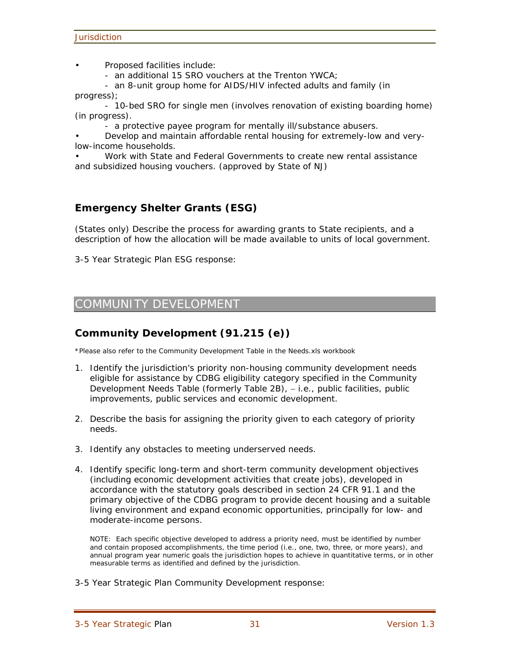• Proposed facilities include:

- an additional 15 SRO vouchers at the Trenton YWCA;

 - an 8-unit group home for AIDS/HIV infected adults and family (in progress);

 - 10-bed SRO for single men (involves renovation of existing boarding home) (in progress).

- a protective payee program for mentally ill/substance abusers.

• Develop and maintain affordable rental housing for extremely-low and verylow-income households.

• Work with State and Federal Governments to create new rental assistance and subsidized housing vouchers. (approved by State of NJ)

## **Emergency Shelter Grants (ESG)**

(States only) Describe the process for awarding grants to State recipients, and a description of how the allocation will be made available to units of local government.

3-5 Year Strategic Plan ESG response:

## COMMUNITY DEVELOPMENT

## **Community Development (91.215 (e))**

\*Please also refer to the Community Development Table in the Needs.xls workbook

- 1. Identify the jurisdiction's priority non-housing community development needs eligible for assistance by CDBG eligibility category specified in the Community Development Needs Table (formerly Table 2B), - i.e., public facilities, public improvements, public services and economic development.
- 2. Describe the basis for assigning the priority given to each category of priority needs.
- 3. Identify any obstacles to meeting underserved needs.
- 4. Identify specific long-term and short-term community development objectives (including economic development activities that create jobs), developed in accordance with the statutory goals described in section 24 CFR 91.1 and the primary objective of the CDBG program to provide decent housing and a suitable living environment and expand economic opportunities, principally for low- and moderate-income persons.

NOTE: Each specific objective developed to address a priority need, must be identified by number and contain proposed accomplishments, the time period (i.e., one, two, three, or more years), and annual program year numeric goals the jurisdiction hopes to achieve in quantitative terms, or in other measurable terms as identified and defined by the jurisdiction.

3-5 Year Strategic Plan Community Development response: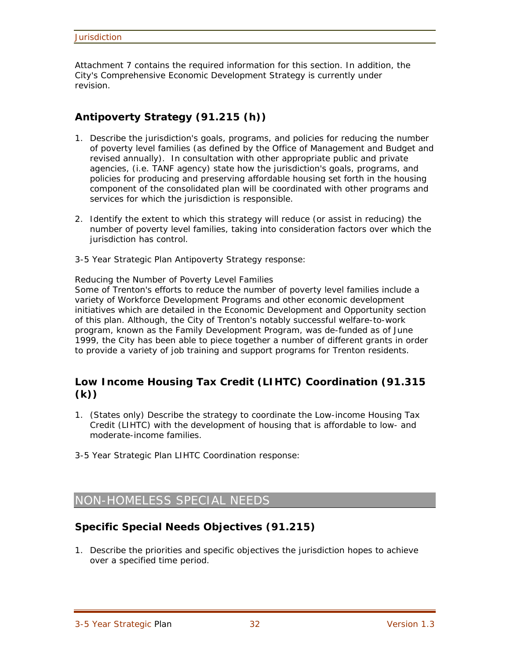Attachment 7 contains the required information for this section. In addition, the City's Comprehensive Economic Development Strategy is currently under revision.

## **Antipoverty Strategy (91.215 (h))**

- 1. Describe the jurisdiction's goals, programs, and policies for reducing the number of poverty level families (as defined by the Office of Management and Budget and revised annually). In consultation with other appropriate public and private agencies, (i.e. TANF agency) state how the jurisdiction's goals, programs, and policies for producing and preserving affordable housing set forth in the housing component of the consolidated plan will be coordinated with other programs and services for which the jurisdiction is responsible.
- 2. Identify the extent to which this strategy will reduce (or assist in reducing) the number of poverty level families, taking into consideration factors over which the jurisdiction has control.
- 3-5 Year Strategic Plan Antipoverty Strategy response:

Reducing the Number of Poverty Level Families

Some of Trenton's efforts to reduce the number of poverty level families include a variety of Workforce Development Programs and other economic development initiatives which are detailed in the Economic Development and Opportunity section of this plan. Although, the City of Trenton's notably successful welfare-to-work program, known as the Family Development Program, was de-funded as of June 1999, the City has been able to piece together a number of different grants in order to provide a variety of job training and support programs for Trenton residents.

## **Low Income Housing Tax Credit (LIHTC) Coordination (91.315 (k))**

- 1. (States only) Describe the strategy to coordinate the Low-income Housing Tax Credit (LIHTC) with the development of housing that is affordable to low- and moderate-income families.
- 3-5 Year Strategic Plan LIHTC Coordination response:

## NON-HOMELESS SPECIAL NEEDS

## **Specific Special Needs Objectives (91.215)**

1. Describe the priorities and specific objectives the jurisdiction hopes to achieve over a specified time period.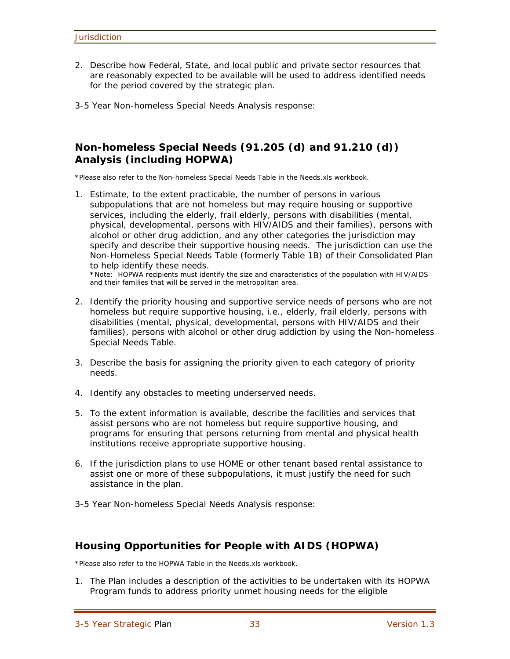- 2. Describe how Federal, State, and local public and private sector resources that are reasonably expected to be available will be used to address identified needs for the period covered by the strategic plan.
- 3-5 Year Non-homeless Special Needs Analysis response:

## **Non-homeless Special Needs (91.205 (d) and 91.210 (d)) Analysis (including HOPWA)**

\*Please also refer to the Non-homeless Special Needs Table in the Needs.xls workbook.

1. Estimate, to the extent practicable, the number of persons in various subpopulations that are not homeless but may require housing or supportive services, including the elderly, frail elderly, persons with disabilities (mental, physical, developmental, persons with HIV/AIDS and their families), persons with alcohol or other drug addiction, and any other categories the jurisdiction may specify and describe their supportive housing needs. The jurisdiction can use the Non-Homeless Special Needs Table (formerly Table 1B) of their Consolidated Plan to help identify these needs.

**\***Note: HOPWA recipients must identify the size and characteristics of the population with HIV/AIDS and their families that will be served in the metropolitan area.

- 2. Identify the priority housing and supportive service needs of persons who are not homeless but require supportive housing, i.e., elderly, frail elderly, persons with disabilities (mental, physical, developmental, persons with HIV/AIDS and their families), persons with alcohol or other drug addiction by using the Non-homeless Special Needs Table.
- 3. Describe the basis for assigning the priority given to each category of priority needs.
- 4. Identify any obstacles to meeting underserved needs.
- 5. To the extent information is available, describe the facilities and services that assist persons who are not homeless but require supportive housing, and programs for ensuring that persons returning from mental and physical health institutions receive appropriate supportive housing.
- 6. If the jurisdiction plans to use HOME or other tenant based rental assistance to assist one or more of these subpopulations, it must justify the need for such assistance in the plan.
- 3-5 Year Non-homeless Special Needs Analysis response:

## **Housing Opportunities for People with AIDS (HOPWA)**

\*Please also refer to the HOPWA Table in the Needs.xls workbook.

1. The Plan includes a description of the activities to be undertaken with its HOPWA Program funds to address priority unmet housing needs for the eligible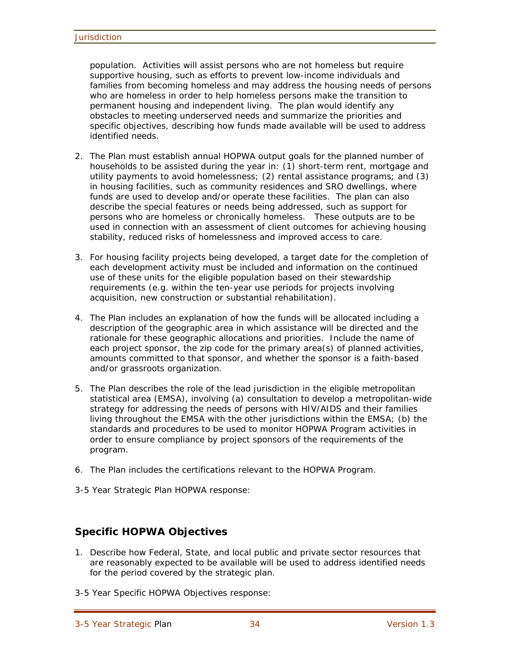population. Activities will assist persons who are not homeless but require supportive housing, such as efforts to prevent low-income individuals and families from becoming homeless and may address the housing needs of persons who are homeless in order to help homeless persons make the transition to permanent housing and independent living. The plan would identify any obstacles to meeting underserved needs and summarize the priorities and specific objectives, describing how funds made available will be used to address identified needs.

- 2. The Plan must establish annual HOPWA output goals for the planned number of households to be assisted during the year in: (1) short-term rent, mortgage and utility payments to avoid homelessness; (2) rental assistance programs; and (3) in housing facilities, such as community residences and SRO dwellings, where funds are used to develop and/or operate these facilities. The plan can also describe the special features or needs being addressed, such as support for persons who are homeless or chronically homeless. These outputs are to be used in connection with an assessment of client outcomes for achieving housing stability, reduced risks of homelessness and improved access to care.
- 3. For housing facility projects being developed, a target date for the completion of each development activity must be included and information on the continued use of these units for the eligible population based on their stewardship requirements (e.g. within the ten-year use periods for projects involving acquisition, new construction or substantial rehabilitation).
- 4. The Plan includes an explanation of how the funds will be allocated including a description of the geographic area in which assistance will be directed and the rationale for these geographic allocations and priorities. Include the name of each project sponsor, the zip code for the primary area(s) of planned activities, amounts committed to that sponsor, and whether the sponsor is a faith-based and/or grassroots organization.
- 5. The Plan describes the role of the lead jurisdiction in the eligible metropolitan statistical area (EMSA), involving (a) consultation to develop a metropolitan-wide strategy for addressing the needs of persons with HIV/AIDS and their families living throughout the EMSA with the other jurisdictions within the EMSA; (b) the standards and procedures to be used to monitor HOPWA Program activities in order to ensure compliance by project sponsors of the requirements of the program.
- 6. The Plan includes the certifications relevant to the HOPWA Program.
- 3-5 Year Strategic Plan HOPWA response:

## **Specific HOPWA Objectives**

- 1. Describe how Federal, State, and local public and private sector resources that are reasonably expected to be available will be used to address identified needs for the period covered by the strategic plan.
- 3-5 Year Specific HOPWA Objectives response: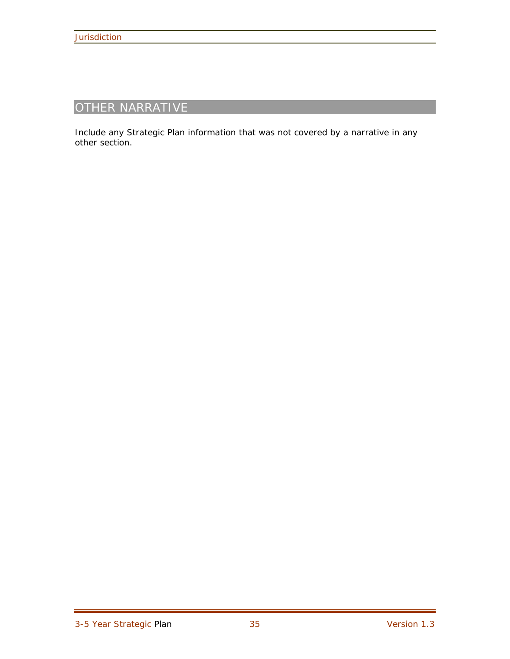## OTHER NARRATIVE

Include any Strategic Plan information that was not covered by a narrative in any other section.